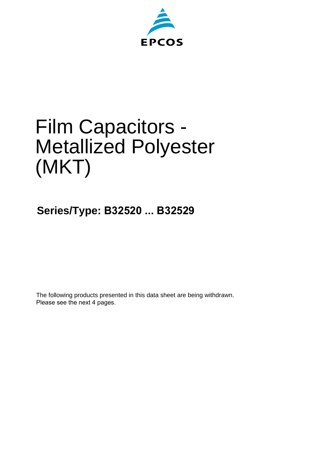

# Film Capacitors - Metallized Polyester (MKT)

**Series/Type: B32520 ... B32529**

The following products presented in this data sheet are being withdrawn. Please see the next 4 pages.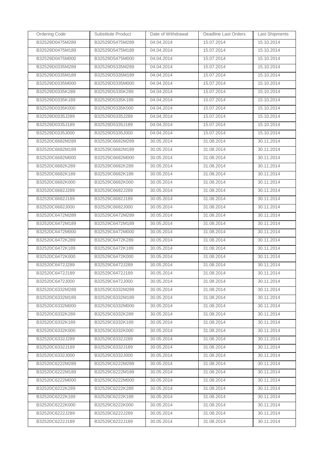| Ordering Code   | Substitute Product | Date of Withdrawal | <b>Deadline Last Orders</b> | <b>Last Shipments</b> |
|-----------------|--------------------|--------------------|-----------------------------|-----------------------|
| B32529D0475M289 | B32529D5475M289    | 04.04.2014         | 15.07.2014                  | 15.10.2014            |
| B32529D0475M189 | B32529D5475M189    | 04.04.2014         | 15.07.2014                  | 15.10.2014            |
| B32529D0475M000 | B32529D5475M000    | 04.04.2014         | 15.07.2014                  | 15.10.2014            |
| B32529D0335M289 | B32529D5335M289    | 04.04.2014         | 15.07.2014                  | 15.10.2014            |
| B32529D0335M189 | B32529D5335M189    | 04.04.2014         | 15.07.2014                  | 15.10.2014            |
| B32529D0335M000 | B32529D5335M000    | 04.04.2014         | 15.07.2014                  | 15.10.2014            |
| B32529D0335K289 | B32529D5335K289    | 04.04.2014         | 15.07.2014                  | 15.10.2014            |
| B32529D0335K189 | B32529D5335K189    | 04.04.2014         | 15.07.2014                  | 15.10.2014            |
| B32529D0335K000 | B32529D5335K000    | 04.04.2014         | 15.07.2014                  | 15.10.2014            |
| B32529D0335J289 | B32529D5335J289    | 04.04.2014         | 15.07.2014                  | 15.10.2014            |
| B32529D0335J189 | B32529D5335J189    | 04.04.2014         | 15.07.2014                  | 15.10.2014            |
| B32529D0335J000 | B32529D5335J000    | 04.04.2014         | 15.07.2014                  | 15.10.2014            |
| B32520C6682M289 | B32529C6682M289    | 30.05.2014         | 31.08.2014                  | 30.11.2014            |
| B32520C6682M189 | B32529C6682M189    | 30.05.2014         | 31.08.2014                  | 30.11.2014            |
| B32520C6682M000 | B32529C6682M000    | 30.05.2014         | 31.08.2014                  | 30.11.2014            |
| B32520C6682K289 | B32529C6682K289    | 30.05.2014         | 31.08.2014                  | 30.11.2014            |
| B32520C6682K189 | B32529C6682K189    | 30.05.2014         | 31.08.2014                  | 30.11.2014            |
| B32520C6682K000 | B32529C6682K000    | 30.05.2014         | 31.08.2014                  | 30.11.2014            |
| B32520C6682J289 | B32529C6682J289    | 30.05.2014         | 31.08.2014                  | 30.11.2014            |
| B32520C6682J189 | B32529C6682J189    | 30.05.2014         | 31.08.2014                  | 30.11.2014            |
| B32520C6682J000 | B32529C6682J000    | 30.05.2014         | 31.08.2014                  | 30.11.2014            |
| B32520C6472M289 | B32529C6472M289    | 30.05.2014         | 31.08.2014                  | 30.11.2014            |
| B32520C6472M189 | B32529C6472M189    | 30.05.2014         | 31.08.2014                  | 30.11.2014            |
| B32520C6472M000 | B32529C6472M000    | 30.05.2014         | 31.08.2014                  | 30.11.2014            |
| B32520C6472K289 | B32529C6472K289    | 30.05.2014         | 31.08.2014                  | 30.11.2014            |
| B32520C6472K189 | B32529C6472K189    | 30.05.2014         | 31.08.2014                  | 30.11.2014            |
| B32520C6472K000 | B32529C6472K000    | 30.05.2014         | 31.08.2014                  | 30.11.2014            |
| B32520C6472J289 | B32529C6472J289    | 30.05.2014         | 31.08.2014                  | 30.11.2014            |
| B32520C6472J189 | B32529C6472J189    | 30.05.2014         | 31.08.2014                  | 30.11.2014            |
| B32520C6472J000 | B32529C6472J000    | 30.05.2014         | 31.08.2014                  | 30.11.2014            |
| B32520C6332M289 | B32529C6332M289    | 30.05.2014         | 31.08.2014                  | 30.11.2014            |
| B32520C6332M189 | B32529C6332M189    | 30.05.2014         | 31.08.2014                  | 30.11.2014            |
| B32520C6332M000 | B32529C6332M000    | 30.05.2014         | 31.08.2014                  | 30.11.2014            |
| B32520C6332K289 | B32529C6332K289    | 30.05.2014         | 31.08.2014                  | 30.11.2014            |
| B32520C6332K189 | B32529C6332K189    | 30.05.2014         | 31.08.2014                  | 30.11.2014            |
| B32520C6332K000 | B32529C6332K000    | 30.05.2014         | 31.08.2014                  | 30.11.2014            |
| B32520C6332J289 | B32529C6332J289    | 30.05.2014         | 31.08.2014                  | 30.11.2014            |
| B32520C6332J189 | B32529C6332J189    | 30.05.2014         | 31.08.2014                  | 30.11.2014            |
| B32520C6332J000 | B32529C6332J000    | 30.05.2014         | 31.08.2014                  | 30.11.2014            |
| B32520C6222M289 | B32529C6222M289    | 30.05.2014         | 31.08.2014                  | 30.11.2014            |
| B32520C6222M189 | B32529C6222M189    | 30.05.2014         | 31.08.2014                  | 30.11.2014            |
| B32520C6222M000 | B32529C6222M000    | 30.05.2014         | 31.08.2014                  | 30.11.2014            |
| B32520C6222K289 | B32529C6222K289    | 30.05.2014         | 31.08.2014                  | 30.11.2014            |
| B32520C6222K189 | B32529C6222K189    | 30.05.2014         | 31.08.2014                  | 30.11.2014            |
| B32520C6222K000 | B32529C6222K000    | 30.05.2014         | 31.08.2014                  | 30.11.2014            |
| B32520C6222J289 | B32529C6222J289    | 30.05.2014         | 31.08.2014                  | 30.11.2014            |
| B32520C6222J189 | B32529C6222J189    | 30.05.2014         | 31.08.2014                  | 30.11.2014            |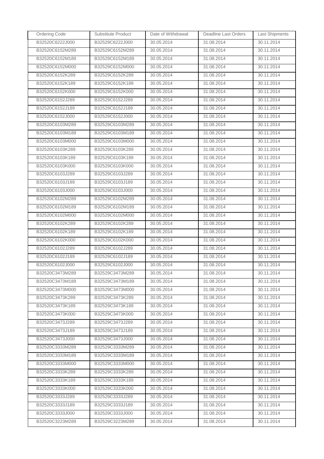| <b>Ordering Code</b> | Substitute Product | Date of Withdrawal | Deadline Last Orders | <b>Last Shipments</b> |
|----------------------|--------------------|--------------------|----------------------|-----------------------|
| B32520C6222J000      | B32529C6222J000    | 30.05.2014         | 31.08.2014           | 30.11.2014            |
| B32520C6152M289      | B32529C6152M289    | 30.05.2014         | 31.08.2014           | 30.11.2014            |
| B32520C6152M189      | B32529C6152M189    | 30.05.2014         | 31.08.2014           | 30.11.2014            |
| B32520C6152M000      | B32529C6152M000    | 30.05.2014         | 31.08.2014           | 30.11.2014            |
| B32520C6152K289      | B32529C6152K289    | 30.05.2014         | 31.08.2014           | 30.11.2014            |
| B32520C6152K189      | B32529C6152K189    | 30.05.2014         | 31.08.2014           | 30.11.2014            |
| B32520C6152K000      | B32529C6152K000    | 30.05.2014         | 31.08.2014           | 30.11.2014            |
| B32520C6152J289      | B32529C6152J289    | 30.05.2014         | 31.08.2014           | 30.11.2014            |
| B32520C6152J189      | B32529C6152J189    | 30.05.2014         | 31.08.2014           | 30.11.2014            |
| B32520C6152J000      | B32529C6152J000    | 30.05.2014         | 31.08.2014           | 30.11.2014            |
| B32520C6103M289      | B32529C6103M289    | 30.05.2014         | 31.08.2014           | 30.11.2014            |
| B32520C6103M189      | B32529C6103M189    | 30.05.2014         | 31.08.2014           | 30.11.2014            |
| B32520C6103M000      | B32529C6103M000    | 30.05.2014         | 31.08.2014           | 30.11.2014            |
| B32520C6103K289      | B32529C6103K289    | 30.05.2014         | 31.08.2014           | 30.11.2014            |
| B32520C6103K189      | B32529C6103K189    | 30.05.2014         | 31.08.2014           | 30.11.2014            |
| B32520C6103K000      | B32529C6103K000    | 30.05.2014         | 31.08.2014           | 30.11.2014            |
| B32520C6103J289      | B32529C6103J289    | 30.05.2014         | 31.08.2014           | 30.11.2014            |
| B32520C6103J189      | B32529C6103J189    | 30.05.2014         | 31.08.2014           | 30.11.2014            |
| B32520C6103J000      | B32529C6103J000    | 30.05.2014         | 31.08.2014           | 30.11.2014            |
| B32520C6102M289      | B32529C6102M289    | 30.05.2014         | 31.08.2014           | 30.11.2014            |
| B32520C6102M189      | B32529C6102M189    | 30.05.2014         | 31.08.2014           | 30.11.2014            |
| B32520C6102M000      | B32529C6102M000    | 30.05.2014         | 31.08.2014           | 30.11.2014            |
| B32520C6102K289      | B32529C6102K289    | 30.05.2014         | 31.08.2014           | 30.11.2014            |
| B32520C6102K189      | B32529C6102K189    | 30.05.2014         | 31.08.2014           | 30.11.2014            |
| B32520C6102K000      | B32529C6102K000    | 30.05.2014         | 31.08.2014           | 30.11.2014            |
| B32520C6102J289      | B32529C6102J289    | 30.05.2014         | 31.08.2014           | 30.11.2014            |
| B32520C6102J189      | B32529C6102J189    | 30.05.2014         | 31.08.2014           | 30.11.2014            |
| B32520C6102J000      | B32529C6102J000    | 30.05.2014         | 31.08.2014           | 30.11.2014            |
| B32520C3473M289      | B32529C3473M289    | 30.05.2014         | 31.08.2014           | 30.11.2014            |
| B32520C3473M189      | B32529C3473M189    | 30.05.2014         | 31.08.2014           | 30.11.2014            |
| B32520C3473M000      | B32529C3473M000    | 30.05.2014         | 31.08.2014           | 30.11.2014            |
| B32520C3473K289      | B32529C3473K289    | 30.05.2014         | 31.08.2014           | 30.11.2014            |
| B32520C3473K189      | B32529C3473K189    | 30.05.2014         | 31.08.2014           | 30.11.2014            |
| B32520C3473K000      | B32529C3473K000    | 30.05.2014         | 31.08.2014           | 30.11.2014            |
| B32520C3473J289      | B32529C3473J289    | 30.05.2014         | 31.08.2014           | 30.11.2014            |
| B32520C3473J189      | B32529C3473J189    | 30.05.2014         | 31.08.2014           | 30.11.2014            |
| B32520C3473J000      | B32529C3473J000    | 30.05.2014         | 31.08.2014           | 30.11.2014            |
| B32520C3333M289      | B32529C3333M289    | 30.05.2014         | 31.08.2014           | 30.11.2014            |
| B32520C3333M189      | B32529C3333M189    | 30.05.2014         | 31.08.2014           | 30.11.2014            |
| B32520C3333M000      | B32529C3333M000    | 30.05.2014         | 31.08.2014           | 30.11.2014            |
| B32520C3333K289      | B32529C3333K289    | 30.05.2014         | 31.08.2014           | 30.11.2014            |
| B32520C3333K189      | B32529C3333K189    | 30.05.2014         | 31.08.2014           | 30.11.2014            |
| B32520C3333K000      | B32529C3333K000    | 30.05.2014         | 31.08.2014           | 30.11.2014            |
| B32520C3333J289      | B32529C3333J289    | 30.05.2014         | 31.08.2014           | 30.11.2014            |
| B32520C3333J189      | B32529C3333J189    | 30.05.2014         | 31.08.2014           | 30.11.2014            |
| B32520C3333J000      | B32529C3333J000    | 30.05.2014         | 31.08.2014           | 30.11.2014            |
| B32520C3223M289      | B32529C3223M289    | 30.05.2014         | 31.08.2014           | 30.11.2014            |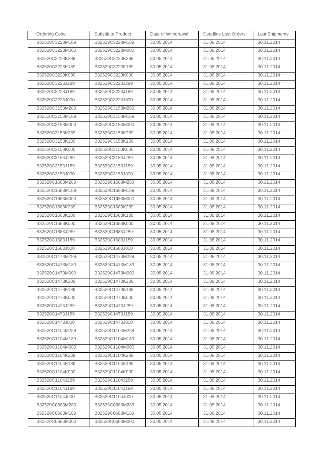| <b>Ordering Code</b> | Substitute Product | Date of Withdrawal | Deadline Last Orders | <b>Last Shipments</b> |
|----------------------|--------------------|--------------------|----------------------|-----------------------|
| B32520C3223M189      | B32529C3223M189    | 30.05.2014         | 31.08.2014           | 30.11.2014            |
| B32520C3223M000      | B32529C3223M000    | 30.05.2014         | 31.08.2014           | 30.11.2014            |
| B32520C3223K289      | B32529C3223K289    | 30.05.2014         | 31.08.2014           | 30.11.2014            |
| B32520C3223K189      | B32529C3223K189    | 30.05.2014         | 31.08.2014           | 30.11.2014            |
| B32520C3223K000      | B32529C3223K000    | 30.05.2014         | 31.08.2014           | 30.11.2014            |
| B32520C3223J289      | B32529C3223J289    | 30.05.2014         | 31.08.2014           | 30.11.2014            |
| B32520C3223J189      | B32529C3223J189    | 30.05.2014         | 31.08.2014           | 30.11.2014            |
| B32520C3223J000      | B32529C3223J000    | 30.05.2014         | 31.08.2014           | 30.11.2014            |
| B32520C3153M289      | B32529C3153M289    | 30.05.2014         | 31.08.2014           | 30.11.2014            |
| B32520C3153M189      | B32529C3153M189    | 30.05.2014         | 31.08.2014           | 30.11.2014            |
| B32520C3153M000      | B32529C3153M000    | 30.05.2014         | 31.08.2014           | 30.11.2014            |
| B32520C3153K289      | B32529C3153K289    | 30.05.2014         | 31.08.2014           | 30.11.2014            |
| B32520C3153K189      | B32529C3153K189    | 30.05.2014         | 31.08.2014           | 30.11.2014            |
| B32520C3153K000      | B32529C3153K000    | 30.05.2014         | 31.08.2014           | 30.11.2014            |
| B32520C3153J289      | B32529C3153J289    | 30.05.2014         | 31.08.2014           | 30.11.2014            |
| B32520C3153J189      | B32529C3153J189    | 30.05.2014         | 31.08.2014           | 30.11.2014            |
| B32520C3153J000      | B32529C3153J000    | 30.05.2014         | 31.08.2014           | 30.11.2014            |
| B32520C1683M289      | B32529C1683M289    | 30.05.2014         | 31.08.2014           | 30.11.2014            |
| B32520C1683M189      | B32529C1683M189    | 30.05.2014         | 31.08.2014           | 30.11.2014            |
| B32520C1683M000      | B32529C1683M000    | 30.05.2014         | 31.08.2014           | 30.11.2014            |
| B32520C1683K289      | B32529C1683K289    | 30.05.2014         | 31.08.2014           | 30.11.2014            |
| B32520C1683K189      | B32529C1683K189    | 30.05.2014         | 31.08.2014           | 30.11.2014            |
| B32520C1683K000      | B32529C1683K000    | 30.05.2014         | 31.08.2014           | 30.11.2014            |
| B32520C1683J289      | B32529C1683J289    | 30.05.2014         | 31.08.2014           | 30.11.2014            |
| B32520C1683J189      | B32529C1683J189    | 30.05.2014         | 31.08.2014           | 30.11.2014            |
| B32520C1683J000      | B32529C1683J000    | 30.05.2014         | 31.08.2014           | 30.11.2014            |
| B32520C1473M289      | B32529C1473M289    | 30.05.2014         | 31.08.2014           | 30.11.2014            |
| B32520C1473M189      | B32529C1473M189    | 30.05.2014         | 31.08.2014           | 30.11.2014            |
| B32520C1473M000      | B32529C1473M000    | 30.05.2014         | 31.08.2014           | 30.11.2014            |
| B32520C1473K289      | B32529C1473K289    | 30.05.2014         | 31.08.2014           | 30.11.2014            |
| B32520C1473K189      | B32529C1473K189    | 30.05.2014         | 31.08.2014           | 30.11.2014            |
| B32520C1473K000      | B32529C1473K000    | 30.05.2014         | 31.08.2014           | 30.11.2014            |
| B32520C1473J289      | B32529C1473J289    | 30.05.2014         | 31.08.2014           | 30.11.2014            |
| B32520C1473J189      | B32529C1473J189    | 30.05.2014         | 31.08.2014           | 30.11.2014            |
| B32520C1473J000      | B32529C1473J000    | 30.05.2014         | 31.08.2014           | 30.11.2014            |
| B32520C1104M289      | B32529C1104M289    | 30.05.2014         | 31.08.2014           | 30.11.2014            |
| B32520C1104M189      | B32529C1104M189    | 30.05.2014         | 31.08.2014           | 30.11.2014            |
| B32520C1104M000      | B32529C1104M000    | 30.05.2014         | 31.08.2014           | 30.11.2014            |
| B32520C1104K289      | B32529C1104K289    | 30.05.2014         | 31.08.2014           | 30.11.2014            |
| B32520C1104K189      | B32529C1104K189    | 30.05.2014         | 31.08.2014           | 30.11.2014            |
| B32520C1104K000      | B32529C1104K000    | 30.05.2014         | 31.08.2014           | 30.11.2014            |
| B32520C1104J289      | B32529C1104J289    | 30.05.2014         | 31.08.2014           | 30.11.2014            |
| B32520C1104J189      | B32529C1104J189    | 30.05.2014         | 31.08.2014           | 30.11.2014            |
| B32520C1104J000      | B32529C1104J000    | 30.05.2014         | 31.08.2014           | 30.11.2014            |
| B32520C0683M289      | B32529C0683M289    | 30.05.2014         | 31.08.2014           | 30.11.2014            |
| B32520C0683M189      | B32529C0683M189    | 30.05.2014         | 31.08.2014           | 30.11.2014            |
| B32520C0683M000      | B32529C0683M000    | 30.05.2014         | 31.08.2014           | 30.11.2014            |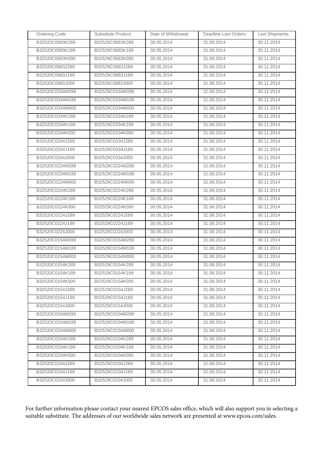| <b>Ordering Code</b> | Substitute Product | Date of Withdrawal | Deadline Last Orders | <b>Last Shipments</b> |
|----------------------|--------------------|--------------------|----------------------|-----------------------|
| B32520C0683K289      | B32529C0683K289    | 30.05.2014         | 31.08.2014           | 30.11.2014            |
| B32520C0683K189      | B32529C0683K189    | 30.05.2014         | 31.08.2014           | 30.11.2014            |
| B32520C0683K000      | B32529C0683K000    | 30.05.2014         | 31.08.2014           | 30.11.2014            |
| B32520C0683J289      | B32529C0683J289    | 30.05.2014         | 31.08.2014           | 30.11.2014            |
| B32520C0683J189      | B32529C0683J189    | 30.05.2014         | 31.08.2014           | 30.11.2014            |
| B32520C0683J000      | B32529C0683J000    | 30.05.2014         | 31.08.2014           | 30.11.2014            |
| B32520C0334M289      | B32529C0334M289    | 30.05.2014         | 31.08.2014           | 30.11.2014            |
| B32520C0334M189      | B32529C0334M189    | 30.05.2014         | 31.08.2014           | 30.11.2014            |
| B32520C0334M000      | B32529C0334M000    | 30.05.2014         | 31.08.2014           | 30.11.2014            |
| B32520C0334K289      | B32529C0334K289    | 30.05.2014         | 31.08.2014           | 30.11.2014            |
| B32520C0334K189      | B32529C0334K189    | 30.05.2014         | 31.08.2014           | 30.11.2014            |
| B32520C0334K000      | B32529C0334K000    | 30.05.2014         | 31.08.2014           | 30.11.2014            |
| B32520C0334J289      | B32529C0334J289    | 30.05.2014         | 31.08.2014           | 30.11.2014            |
| B32520C0334J189      | B32529C0334J189    | 30.05.2014         | 31.08.2014           | 30.11.2014            |
| B32520C0334J000      | B32529C0334J000    | 30.05.2014         | 31.08.2014           | 30.11.2014            |
| B32520C0224M289      | B32529C0224M289    | 30.05.2014         | 31.08.2014           | 30.11.2014            |
| B32520C0224M189      | B32529C0224M189    | 30.05.2014         | 31.08.2014           | 30.11.2014            |
| B32520C0224M000      | B32529C0224M000    | 30.05.2014         | 31.08.2014           | 30.11.2014            |
| B32520C0224K289      | B32529C0224K289    | 30.05.2014         | 31.08.2014           | 30.11.2014            |
| B32520C0224K189      | B32529C0224K189    | 30.05.2014         | 31.08.2014           | 30.11.2014            |
| B32520C0224K000      | B32529C0224K000    | 30.05.2014         | 31.08.2014           | 30.11.2014            |
| B32520C0224J289      | B32529C0224J289    | 30.05.2014         | 31.08.2014           | 30.11.2014            |
| B32520C0224J189      | B32529C0224J189    | 30.05.2014         | 31.08.2014           | 30.11.2014            |
| B32520C0224J000      | B32529C0224J000    | 30.05.2014         | 31.08.2014           | 30.11.2014            |
| B32520C0154M289      | B32529C0154M289    | 30.05.2014         | 31.08.2014           | 30.11.2014            |
| B32520C0154M189      | B32529C0154M189    | 30.05.2014         | 31.08.2014           | 30.11.2014            |
| B32520C0154M000      | B32529C0154M000    | 30.05.2014         | 31.08.2014           | 30.11.2014            |
| B32520C0154K289      | B32529C0154K289    | 30.05.2014         | 31.08.2014           | 30.11.2014            |
| B32520C0154K189      | B32529C0154K189    | 30.05.2014         | 31.08.2014           | 30.11.2014            |
| B32520C0154K000      | B32529C0154K000    | 30.05.2014         | 31.08.2014           | 30.11.2014            |
| B32520C0154J289      | B32529C0154J289    | 30.05.2014         | 31.08.2014           | 30.11.2014            |
| B32520C0154J189      | B32529C0154J189    | 30.05.2014         | 31.08.2014           | 30.11.2014            |
| B32520C0154J000      | B32529C0154J000    | 30.05.2014         | 31.08.2014           | 30.11.2014            |
| B32520C0104M289      | B32529C0104M289    | 30.05.2014         | 31.08.2014           | 30.11.2014            |
| B32520C0104M189      | B32529C0104M189    | 30.05.2014         | 31.08.2014           | 30.11.2014            |
| B32520C0104M000      | B32529C0104M000    | 30.05.2014         | 31.08.2014           | 30.11.2014            |
| B32520C0104K289      | B32529C0104K289    | 30.05.2014         | 31.08.2014           | 30.11.2014            |
| B32520C0104K189      | B32529C0104K189    | 30.05.2014         | 31.08.2014           | 30.11.2014            |
| B32520C0104K000      | B32529C0104K000    | 30.05.2014         | 31.08.2014           | 30.11.2014            |
| B32520C0104J289      | B32529C0104J289    | 30.05.2014         | 31.08.2014           | 30.11.2014            |
| B32520C0104J189      | B32529C0104J189    | 30.05.2014         | 31.08.2014           | 30.11.2014            |
| B32520C0104J000      | B32529C0104J000    | 30.05.2014         | 31.08.2014           | 30.11.2014            |

For further information please contact your nearest EPCOS sales office, which will also support you in selecting a suitable substitute. The addresses of our worldwide sales network are presented at www.epcos.com/sales.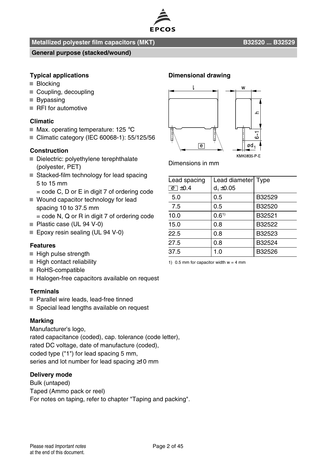

#### **Metallized polyester film capacitors (MKT) B32520 ... B32529**

#### **General purpose (stacked/wound)**

#### **Typical applications**

- **Blocking**
- Coupling, decoupling
- **Bypassing**
- RFI for automotive

#### **Climatic**

- $\blacksquare$  Max. operating temperature: 125 °C
- Climatic category (IEC 60068-1): 55/125/56

#### **Construction**

- Dielectric: polyethylene terephthalate (polyester, PET)
- Stacked-film technology for lead spacing 5 to 15 mm
	- = code C, D or E in digit 7 of ordering code
- Wound capacitor technology for lead spacing 10 to 37.5 mm
	- = code N, Q or R in digit 7 of ordering code
- Plastic case (UL 94 V-0)
- Epoxy resin sealing (UL 94 V-0)

#### **Features**

- $H$ igh pulse strength
- $\blacksquare$  High contact reliability
- RoHS-compatible
- Halogen-free capacitors available on request

#### **Terminals**

- Parallel wire leads, lead-free tinned
- Special lead lengths available on request

#### **Marking**

Manufacturer's logo, rated capacitance (coded), cap. tolerance (code letter), rated DC voltage, date of manufacture (coded), coded type ("1") for lead spacing 5 mm, series and lot number for lead spacing ≥10 mm

#### **Delivery mode**

Bulk (untaped) Taped (Ammo pack or reel) For notes on taping, refer to chapter "Taping and packing".

#### **Dimensional drawing**



Dimensions in mm

| Lead spacing | Lead diameter Type |        |
|--------------|--------------------|--------|
| $e$ +0.4     | $d_1 \pm 0.05$     |        |
| 5.0          | 0.5                | B32529 |
| 7.5          | 0.5                | B32520 |
| 10.0         | 0.61               | B32521 |
| 15.0         | 0.8                | B32522 |
| 22.5         | 0.8                | B32523 |
| 27.5         | 0.8                | B32524 |
| 37.5         | 1.0                | B32526 |

1) 0.5 mm for capacitor width  $w = 4$  mm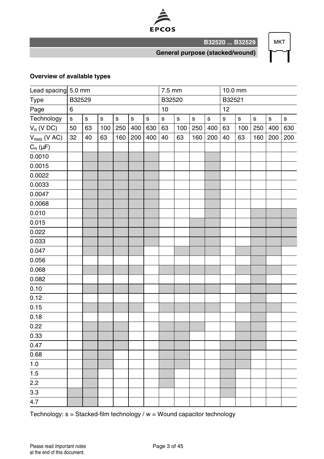

**MKT** 

**General purpose (stacked/wound)**

**B32520 ... B32529**

#### **Overview of available types**

|                       | Lead spacing 5.0 mm |             |             |             |             |         | 7.5 mm       |         |         | 10.0 mm |             |             |             |             |         |
|-----------------------|---------------------|-------------|-------------|-------------|-------------|---------|--------------|---------|---------|---------|-------------|-------------|-------------|-------------|---------|
| Type                  | B32529              |             |             |             |             |         | B32520       |         |         |         | B32521      |             |             |             |         |
| Page                  | 6                   |             |             |             |             |         | 10           |         |         |         | 12          |             |             |             |         |
| Technology            | $\mathbf{s}$        | $\mathbf s$ | $\mathbf s$ | $\mathbf s$ | $\mathbf s$ | $\sf s$ | $\mathbf{s}$ | $\sf s$ | $\sf s$ | s       | $\mathbf s$ | $\mathbf s$ | $\mathbf s$ | $\mathbf s$ | $\sf s$ |
| $V_R$ (V DC)          | 50                  | 63          | 100         | 250         | 400         | 630     | 63           | 100     | 250     | 400     | 63          | 100         | 250         | 400         | 630     |
| $V_{RMS}$ (V AC)      | 32                  | 40          | 63          | 160         | 200         | 400     | 40           | 63      | 160     | 200     | 40          | 63          | 160         | 200         | 200     |
| $C_{\text{R}}(\mu F)$ |                     |             |             |             |             |         |              |         |         |         |             |             |             |             |         |
| 0.0010                |                     |             |             |             |             |         |              |         |         |         |             |             |             |             |         |
| 0.0015                |                     |             |             |             |             |         |              |         |         |         |             |             |             |             |         |
| 0.0022                |                     |             |             |             |             |         |              |         |         |         |             |             |             |             |         |
| 0.0033                |                     |             |             |             |             |         |              |         |         |         |             |             |             |             |         |
| 0.0047                |                     |             |             |             |             |         |              |         |         |         |             |             |             |             |         |
| 0.0068                |                     |             |             |             |             |         |              |         |         |         |             |             |             |             |         |
| 0.010                 |                     |             |             |             |             |         |              |         |         |         |             |             |             |             |         |
| 0.015                 |                     |             |             |             |             |         |              |         |         |         |             |             |             |             |         |
| 0.022                 |                     |             |             |             |             |         |              |         |         |         |             |             |             |             |         |
| 0.033                 |                     |             |             |             |             |         |              |         |         |         |             |             |             |             |         |
| 0.047                 |                     |             |             |             |             |         |              |         |         |         |             |             |             |             |         |
| 0.056                 |                     |             |             |             |             |         |              |         |         |         |             |             |             |             |         |
| 0.068                 |                     |             |             |             |             |         |              |         |         |         |             |             |             |             |         |
| 0.082                 |                     |             |             |             |             |         |              |         |         |         |             |             |             |             |         |
| 0.10                  |                     |             |             |             |             |         |              |         |         |         |             |             |             |             |         |
| 0.12                  |                     |             |             |             |             |         |              |         |         |         |             |             |             |             |         |
| 0.15                  |                     |             |             |             |             |         |              |         |         |         |             |             |             |             |         |
| 0.18                  |                     |             |             |             |             |         |              |         |         |         |             |             |             |             |         |
| 0.22                  |                     |             |             |             |             |         |              |         |         |         |             |             |             |             |         |
| 0.33                  |                     |             |             |             |             |         |              |         |         |         |             |             |             |             |         |
| 0.47                  |                     |             |             |             |             |         |              |         |         |         |             |             |             |             |         |
| 0.68                  |                     |             |             |             |             |         |              |         |         |         |             |             |             |             |         |
| $1.0$                 |                     |             |             |             |             |         |              |         |         |         |             |             |             |             |         |
| 1.5                   |                     |             |             |             |             |         |              |         |         |         |             |             |             |             |         |
| 2.2                   |                     |             |             |             |             |         |              |         |         |         |             |             |             |             |         |
| $\overline{3.3}$      |                     |             |             |             |             |         |              |         |         |         |             |             |             |             |         |
| $\overline{4.7}$      |                     |             |             |             |             |         |              |         |         |         |             |             |             |             |         |

Technology: s = Stacked-film technology / w = Wound capacitor technology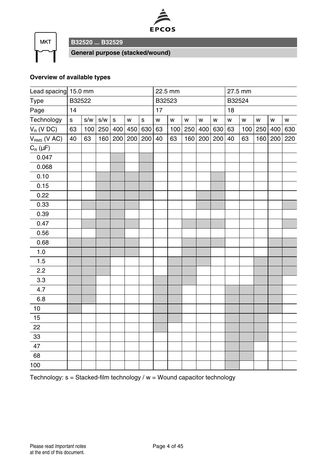



**B32520 ... B32529**

**General purpose (stacked/wound)**

#### **Overview of available types**

| Lead spacing 15.0 mm |        |     |         |              |     |             |        | 22.5 mm |     |     |     |        | 27.5 mm |     |     |     |
|----------------------|--------|-----|---------|--------------|-----|-------------|--------|---------|-----|-----|-----|--------|---------|-----|-----|-----|
| Type                 | B32522 |     |         |              |     |             | B32523 |         |     |     |     | B32524 |         |     |     |     |
| Page                 | 14     |     |         |              |     | 17          |        |         |     |     | 18  |        |         |     |     |     |
| Technology           | s      | s/w | s/w     | $\mathbf{s}$ | W   | $\mathbf s$ | W      | W       | W   | W   | W   | W      | W       | W   | W   | W   |
| $V_R$ (V DC)         | 63     | 100 | 250 400 |              | 450 | 630         | 63     | 100     | 250 | 400 | 630 | 63     | 100     | 250 | 400 | 630 |
| $V_{RMS}$ (V AC)     | 40     | 63  | 160     | 200          | 200 | 200         | 40     | 63      | 160 | 200 | 200 | 40     | 63      | 160 | 200 | 220 |
| $C_R(\mu F)$         |        |     |         |              |     |             |        |         |     |     |     |        |         |     |     |     |
| 0.047                |        |     |         |              |     |             |        |         |     |     |     |        |         |     |     |     |
| 0.068                |        |     |         |              |     |             |        |         |     |     |     |        |         |     |     |     |
| 0.10                 |        |     |         |              |     |             |        |         |     |     |     |        |         |     |     |     |
| 0.15                 |        |     |         |              |     |             |        |         |     |     |     |        |         |     |     |     |
| 0.22                 |        |     |         |              |     |             |        |         |     |     |     |        |         |     |     |     |
| 0.33                 |        |     |         |              |     |             |        |         |     |     |     |        |         |     |     |     |
| 0.39                 |        |     |         |              |     |             |        |         |     |     |     |        |         |     |     |     |
| 0.47                 |        |     |         |              |     |             |        |         |     |     |     |        |         |     |     |     |
| 0.56                 |        |     |         |              |     |             |        |         |     |     |     |        |         |     |     |     |
| 0.68                 |        |     |         |              |     |             |        |         |     |     |     |        |         |     |     |     |
| 1.0                  |        |     |         |              |     |             |        |         |     |     |     |        |         |     |     |     |
| 1.5                  |        |     |         |              |     |             |        |         |     |     |     |        |         |     |     |     |
| 2.2                  |        |     |         |              |     |             |        |         |     |     |     |        |         |     |     |     |
| 3.3                  |        |     |         |              |     |             |        |         |     |     |     |        |         |     |     |     |
| 4.7                  |        |     |         |              |     |             |        |         |     |     |     |        |         |     |     |     |
| 6.8                  |        |     |         |              |     |             |        |         |     |     |     |        |         |     |     |     |
| 10                   |        |     |         |              |     |             |        |         |     |     |     |        |         |     |     |     |
| 15                   |        |     |         |              |     |             |        |         |     |     |     |        |         |     |     |     |
| 22                   |        |     |         |              |     |             |        |         |     |     |     |        |         |     |     |     |
| 33                   |        |     |         |              |     |             |        |         |     |     |     |        |         |     |     |     |
| 47                   |        |     |         |              |     |             |        |         |     |     |     |        |         |     |     |     |
| 68                   |        |     |         |              |     |             |        |         |     |     |     |        |         |     |     |     |
| 100                  |        |     |         |              |     |             |        |         |     |     |     |        |         |     |     |     |

Technology: s = Stacked-film technology / w = Wound capacitor technology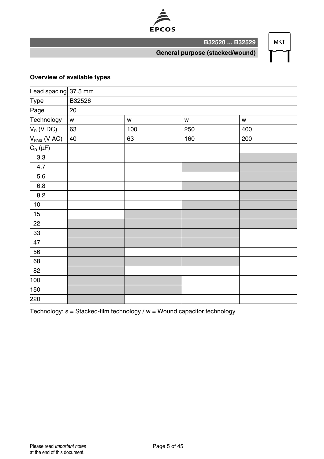

**MKT** 

**General purpose (stacked/wound)**

**B32520 ... B32529**

#### **Overview of available types**

| Lead spacing 37.5 mm                             |        |     |     |     |
|--------------------------------------------------|--------|-----|-----|-----|
| Type                                             | B32526 |     |     |     |
| Page                                             | 20     |     |     |     |
| Technology                                       | W      | W   | W   | W   |
| $V_R$ (V DC)                                     | 63     | 100 | 250 | 400 |
| $V_{RMS}$ (V AC)                                 | 40     | 63  | 160 | 200 |
| $C_{\textrm{\tiny R}}\left(\mu\mathsf{F}\right)$ |        |     |     |     |
| $3.3\,$                                          |        |     |     |     |
| 4.7                                              |        |     |     |     |
| 5.6                                              |        |     |     |     |
| $6.8\,$                                          |        |     |     |     |
| $8.2\,$                                          |        |     |     |     |
| $10$                                             |        |     |     |     |
| 15                                               |        |     |     |     |
| 22                                               |        |     |     |     |
| $33\,$                                           |        |     |     |     |
| 47                                               |        |     |     |     |
| 56                                               |        |     |     |     |
| 68                                               |        |     |     |     |
| 82                                               |        |     |     |     |
| 100                                              |        |     |     |     |
| 150                                              |        |     |     |     |
| 220                                              |        |     |     |     |

Technology:  $s =$  Stacked-film technology /  $w =$  Wound capacitor technology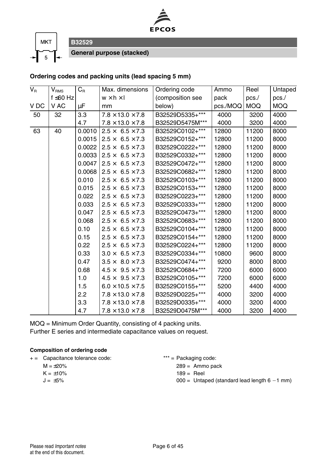



**General purpose (stacked)**

#### **Ordering codes and packing units (lead spacing 5 mm)**

| $V_R$ | $\mathsf{V}_{\mathsf{RMS}}$ | $C_R$  | Max. dimensions              | Ordering code    | Ammo     | Reel       | Untaped    |
|-------|-----------------------------|--------|------------------------------|------------------|----------|------------|------------|
|       | f ≤60 Hz                    |        | $w \times h \times I$        | (composition see | pack     | $pcs$ ./   | pcs.       |
| V DC  | V AC                        | μF     | mm                           | below)           | pcs./MOQ | <b>MOQ</b> | <b>MOQ</b> |
| 50    | 32                          | 3.3    | $7.8 \times 13.0 \times 7.8$ | B32529D5335+***  | 4000     | 3200       | 4000       |
|       |                             | 4.7    | $7.8 \times 13.0 \times 7.8$ | B32529D5475M***  | 4000     | 3200       | 4000       |
| 63    | 40                          | 0.0010 | $2.5 \times 6.5 \times 7.3$  | B32529C0102+***  | 12800    | 11200      | 8000       |
|       |                             | 0.0015 | $2.5 \times 6.5 \times 7.3$  | B32529C0152+***  | 12800    | 11200      | 8000       |
|       |                             | 0.0022 | $2.5 \times 6.5 \times 7.3$  | B32529C0222+***  | 12800    | 11200      | 8000       |
|       |                             | 0.0033 | $2.5 \times 6.5 \times 7.3$  | B32529C0332+***  | 12800    | 11200      | 8000       |
|       |                             | 0.0047 | $2.5 \times 6.5 \times 7.3$  | B32529C0472+***  | 12800    | 11200      | 8000       |
|       |                             | 0.0068 | $2.5 \times 6.5 \times 7.3$  | B32529C0682+***  | 12800    | 11200      | 8000       |
|       |                             | 0.010  | $2.5 \times 6.5 \times 7.3$  | B32529C0103+***  | 12800    | 11200      | 8000       |
|       |                             | 0.015  | $2.5 \times 6.5 \times 7.3$  | B32529C0153+***  | 12800    | 11200      | 8000       |
|       |                             | 0.022  | $2.5 \times 6.5 \times 7.3$  | B32529C0223+***  | 12800    | 11200      | 8000       |
|       |                             | 0.033  | $2.5 \times 6.5 \times 7.3$  | B32529C0333+***  | 12800    | 11200      | 8000       |
|       |                             | 0.047  | $2.5 \times 6.5 \times 7.3$  | B32529C0473+***  | 12800    | 11200      | 8000       |
|       |                             | 0.068  | $2.5 \times 6.5 \times 7.3$  | B32529C0683+***  | 12800    | 11200      | 8000       |
|       |                             | 0.10   | $2.5 \times 6.5 \times 7.3$  | B32529C0104+***  | 12800    | 11200      | 8000       |
|       |                             | 0.15   | $2.5 \times 6.5 \times 7.3$  | B32529C0154+***  | 12800    | 11200      | 8000       |
|       |                             | 0.22   | $2.5 \times 6.5 \times 7.3$  | B32529C0224+***  | 12800    | 11200      | 8000       |
|       |                             | 0.33   | $3.0 \times 6.5 \times 7.3$  | B32529C0334+***  | 10800    | 9600       | 8000       |
|       |                             | 0.47   | $3.5 \times 8.0 \times 7.3$  | B32529C0474+***  | 9200     | 8000       | 8000       |
|       |                             | 0.68   | $4.5 \times 9.5 \times 7.3$  | B32529C0684+***  | 7200     | 6000       | 6000       |
|       |                             | 1.0    | $4.5 \times 9.5 \times 7.3$  | B32529C0105+***  | 7200     | 6000       | 6000       |
|       |                             | 1.5    | $6.0 \times 10.5 \times 7.5$ | B32529C0155+***  | 5200     | 4400       | 4000       |
|       |                             | 2.2    | $7.8 \times 13.0 \times 7.8$ | B32529D0225+***  | 4000     | 3200       | 4000       |
|       |                             | 3.3    | $7.8 \times 13.0 \times 7.8$ | B32529D0335+***  | 4000     | 3200       | 4000       |
|       |                             | 4.7    | $7.8 \times 13.0 \times 7.8$ | B32529D0475M***  | 4000     | 3200       | 4000       |

MOQ = Minimum Order Quantity, consisting of 4 packing units.

Further E series and intermediate capacitance values on request.

#### **Composition of ordering code**

| $+ =$ |  | Capacitance tolerance code: |  |
|-------|--|-----------------------------|--|
|-------|--|-----------------------------|--|

- $M = \pm 20\%$  $K = \pm 10\%$
- $J = \pm 5\%$

 $*** =$  Packaging code:

 $289 =$  Ammo pack

- $189 =$ Reel
- $000 =$  Untaped (standard lead length  $6 1$  mm)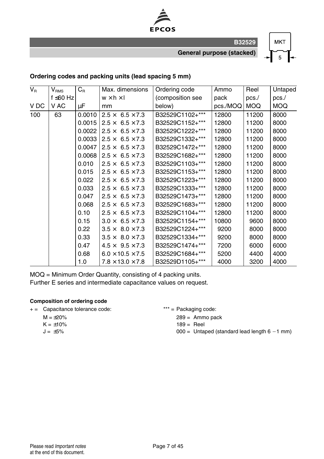

**General purpose (stacked)**

**MKT**  $\overline{5}$ 

#### **Ordering codes and packing units (lead spacing 5 mm)**

| $\overline{V_{\rm R}}$ | $\mathsf{V}_{\mathsf{RMS}}$ | $C_R$  | Max. dimensions              | Ordering code    | Ammo     | Reel       | Untaped |
|------------------------|-----------------------------|--------|------------------------------|------------------|----------|------------|---------|
|                        | f ≤60 Hz                    |        | $w \times h \times l$        | (composition see | pack     | pcs.       | pcs./   |
| V DC                   | V AC                        | μF     | mm                           | below)           | pcs./MOQ | <b>MOQ</b> | MOQ     |
| 100                    | 63                          | 0.0010 | $2.5 \times 6.5 \times 7.3$  | B32529C1102+***  | 12800    | 11200      | 8000    |
|                        |                             | 0.0015 | $2.5 \times 6.5 \times 7.3$  | B32529C1152+***  | 12800    | 11200      | 8000    |
|                        |                             | 0.0022 | $2.5 \times 6.5 \times 7.3$  | B32529C1222+***  | 12800    | 11200      | 8000    |
|                        |                             | 0.0033 | $2.5 \times 6.5 \times 7.3$  | B32529C1332+***  | 12800    | 11200      | 8000    |
|                        |                             | 0.0047 | $2.5 \times 6.5 \times 7.3$  | B32529C1472+***  | 12800    | 11200      | 8000    |
|                        |                             | 0.0068 | $2.5 \times 6.5 \times 7.3$  | B32529C1682+***  | 12800    | 11200      | 8000    |
|                        |                             | 0.010  | $2.5 \times 6.5 \times 7.3$  | B32529C1103+***  | 12800    | 11200      | 8000    |
|                        |                             | 0.015  | $2.5 \times 6.5 \times 7.3$  | B32529C1153+***  | 12800    | 11200      | 8000    |
|                        |                             | 0.022  | $2.5 \times 6.5 \times 7.3$  | B32529C1223+***  | 12800    | 11200      | 8000    |
|                        |                             | 0.033  | $2.5 \times 6.5 \times 7.3$  | B32529C1333+***  | 12800    | 11200      | 8000    |
|                        |                             | 0.047  | $2.5 \times 6.5 \times 7.3$  | B32529C1473+***  | 12800    | 11200      | 8000    |
|                        |                             | 0.068  | $2.5 \times 6.5 \times 7.3$  | B32529C1683+***  | 12800    | 11200      | 8000    |
|                        |                             | 0.10   | $2.5 \times 6.5 \times 7.3$  | B32529C1104+***  | 12800    | 11200      | 8000    |
|                        |                             | 0.15   | $3.0 \times 6.5 \times 7.3$  | B32529C1154+***  | 10800    | 9600       | 8000    |
|                        |                             | 0.22   | $3.5 \times 8.0 \times 7.3$  | B32529C1224+***  | 9200     | 8000       | 8000    |
|                        |                             | 0.33   | $3.5 \times 8.0 \times 7.3$  | B32529C1334+***  | 9200     | 8000       | 8000    |
|                        |                             | 0.47   | $4.5 \times 9.5 \times 7.3$  | B32529C1474+***  | 7200     | 6000       | 6000    |
|                        |                             | 0.68   | $6.0 \times 10.5 \times 7.5$ | B32529C1684+***  | 5200     | 4400       | 4000    |
|                        |                             | 1.0    | $7.8 \times 13.0 \times 7.8$ | B32529D1105+***  | 4000     | 3200       | 4000    |

MOQ = Minimum Order Quantity, consisting of 4 packing units.

Further E series and intermediate capacitance values on request.

- + = Capacitance tolerance code: \*\*\* = Packaging code:
	- $M = \pm 20%$  $K = \pm 10\%$
	- $J = \pm 5\%$
- $289 =$  Ammo pack
	-
	- $189 =$  Reel
	- $000 =$  Untaped (standard lead length  $6 1$  mm)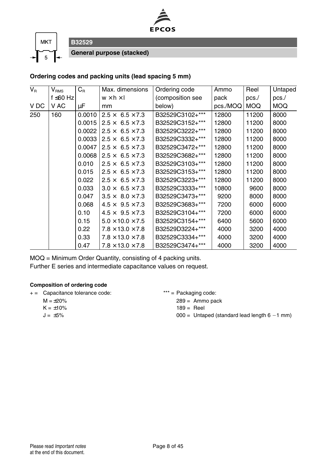



**General purpose (stacked)**

**B32529**

#### **Ordering codes and packing units (lead spacing 5 mm)**

| $V_R$ | $V_{RMS}$      | $C_{\rm R}$ | Max. dimensions                  | Ordering code    | Ammo     | Reel       | Untaped    |
|-------|----------------|-------------|----------------------------------|------------------|----------|------------|------------|
|       | $f \leq 60$ Hz |             | $w \times h \times I$            | (composition see | pack     | pcs.       | pcs.       |
| V DC  | V AC           | μF          | mm                               | below)           | pcs./MOQ | <b>MOQ</b> | <b>MOQ</b> |
| 250   | 160            | 0.0010      | $2.5 \times 6.5 \times 7.3$      | B32529C3102+***  | 12800    | 11200      | 8000       |
|       |                | 0.0015      | $2.5 \times 6.5 \times 7.3$      | B32529C3152+***  | 12800    | 11200      | 8000       |
|       |                | 0.0022      | $2.5\times$<br>$6.5 \times 7.3$  | B32529C3222+***  | 12800    | 11200      | 8000       |
|       |                | 0.0033      | $2.5 \times 6.5 \times 7.3$      | B32529C3332+***  | 12800    | 11200      | 8000       |
|       |                | 0.0047      | $2.5 \times 6.5 \times 7.3$      | B32529C3472+***  | 12800    | 11200      | 8000       |
|       |                | 0.0068      | $2.5 \times 6.5 \times 7.3$      | B32529C3682+***  | 12800    | 11200      | 8000       |
|       |                | 0.010       | $2.5 \times 6.5 \times 7.3$      | B32529C3103+***  | 12800    | 11200      | 8000       |
|       |                | 0.015       | $2.5 \times 6.5 \times 7.3$      | B32529C3153+***  | 12800    | 11200      | 8000       |
|       |                | 0.022       | $2.5 \times 6.5 \times 7.3$      | B32529C3223+***  | 12800    | 11200      | 8000       |
|       |                | 0.033       | $6.5 \times 7.3$<br>$3.0 \times$ | B32529C3333+***  | 10800    | 9600       | 8000       |
|       |                | 0.047       | $3.5 \times 8.0 \times 7.3$      | B32529C3473+***  | 9200     | 8000       | 8000       |
|       |                | 0.068       | $4.5 \times 9.5 \times 7.3$      | B32529C3683+***  | 7200     | 6000       | 6000       |
|       |                | 0.10        | $4.5 \times 9.5 \times 7.3$      | B32529C3104+***  | 7200     | 6000       | 6000       |
|       |                | 0.15        | $5.0 \times 10.0 \times 7.5$     | B32529C3154+***  | 6400     | 5600       | 6000       |
|       |                | 0.22        | $7.8 \times 13.0 \times 7.8$     | B32529D3224+***  | 4000     | 3200       | 4000       |
|       |                | 0.33        | $7.8 \times 13.0 \times 7.8$     | B32529C3334+***  | 4000     | 3200       | 4000       |
|       |                | 0.47        | $7.8 \times 13.0 \times 7.8$     | B32529C3474+***  | 4000     | 3200       | 4000       |

MOQ = Minimum Order Quantity, consisting of 4 packing units.

Further E series and intermediate capacitance values on request.

- + = Capacitance tolerance code: \*\*\* = Packaging code:
	- $M = \pm 20\%$  $K = +10%$
	- $J = \pm 5\%$

- $289 =$  Ammo pack
- $189 =$ Reel
- $000 =$  Untaped (standard lead length  $6 1$  mm)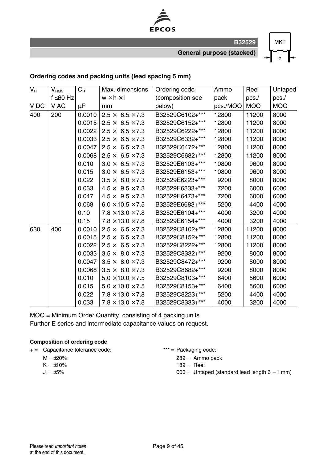

**General purpose (stacked)**

**MKT** 5

#### **Ordering codes and packing units (lead spacing 5 mm)**

| $V_R$ | $V_{\rm RMS}$  | $C_R$  | Max. dimensions              | Ordering code    | Ammo     | Reel       | Untaped    |
|-------|----------------|--------|------------------------------|------------------|----------|------------|------------|
|       | $f \leq 60$ Hz |        | $w \times h \times I$        | (composition see | pack     | pcs.       | pcs.       |
| V DC  | V AC           | μF     | mm                           | below)           | pcs./MOQ | <b>MOQ</b> | <b>MOQ</b> |
| 400   | 200            | 0.0010 | $2.5 \times 6.5 \times 7.3$  | B32529C6102+***  | 12800    | 11200      | 8000       |
|       |                | 0.0015 | $2.5 \times 6.5 \times 7.3$  | B32529C6152+***  | 12800    | 11200      | 8000       |
|       |                | 0.0022 | $2.5 \times 6.5 \times 7.3$  | B32529C6222+***  | 12800    | 11200      | 8000       |
|       |                | 0.0033 | $2.5 \times 6.5 \times 7.3$  | B32529C6332+***  | 12800    | 11200      | 8000       |
|       |                | 0.0047 | $2.5 \times 6.5 \times 7.3$  | B32529C6472+***  | 12800    | 11200      | 8000       |
|       |                | 0.0068 | $2.5 \times 6.5 \times 7.3$  | B32529C6682+***  | 12800    | 11200      | 8000       |
|       |                | 0.010  | $3.0 \times 6.5 \times 7.3$  | B32529E6103+***  | 10800    | 9600       | 8000       |
|       |                | 0.015  | $3.0 \times 6.5 \times 7.3$  | B32529E6153+***  | 10800    | 9600       | 8000       |
|       |                | 0.022  | $3.5 \times 8.0 \times 7.3$  | B32529E6223+***  | 9200     | 8000       | 8000       |
|       |                | 0.033  | $4.5 \times 9.5 \times 7.3$  | B32529E6333+***  | 7200     | 6000       | 6000       |
|       |                | 0.047  | $4.5 \times 9.5 \times 7.3$  | B32529E6473+***  | 7200     | 6000       | 6000       |
|       |                | 0.068  | $6.0 \times 10.5 \times 7.5$ | B32529E6683+***  | 5200     | 4400       | 4000       |
|       |                | 0.10   | $7.8 \times 13.0 \times 7.8$ | B32529E6104+***  | 4000     | 3200       | 4000       |
|       |                | 0.15   | $7.8 \times 13.0 \times 7.8$ | B32529E6154+***  | 4000     | 3200       | 4000       |
| 630   | 400            | 0.0010 | $2.5 \times 6.5 \times 7.3$  | B32529C8102+***  | 12800    | 11200      | 8000       |
|       |                | 0.0015 | $2.5 \times 6.5 \times 7.3$  | B32529C8152+***  | 12800    | 11200      | 8000       |
|       |                | 0.0022 | $2.5 \times 6.5 \times 7.3$  | B32529C8222+***  | 12800    | 11200      | 8000       |
|       |                | 0.0033 | $3.5 \times 8.0 \times 7.3$  | B32529C8332+***  | 9200     | 8000       | 8000       |
|       |                | 0.0047 | $3.5 \times 8.0 \times 7.3$  | B32529C8472+***  | 9200     | 8000       | 8000       |
|       |                | 0.0068 | $3.5 \times 8.0 \times 7.3$  | B32529C8682+***  | 9200     | 8000       | 8000       |
|       |                | 0.010  | $5.0 \times 10.0 \times 7.5$ | B32529C8103+***  | 6400     | 5600       | 6000       |
|       |                | 0.015  | $5.0 \times 10.0 \times 7.5$ | B32529C8153+***  | 6400     | 5600       | 6000       |
|       |                | 0.022  | $7.8 \times 13.0 \times 7.8$ | B32529C8223+***  | 5200     | 4400       | 4000       |
|       |                | 0.033  | $7.8 \times 13.0 \times 7.8$ | B32529C8333+***  | 4000     | 3200       | 4000       |

MOQ = Minimum Order Quantity, consisting of 4 packing units. Further E series and intermediate capacitance values on request.

- + = Capacitance tolerance code: \*\*\* = Packaging code:
	- $M = \pm 20\%$
	- $K = \pm 10\%$
	- $J = +5\%$
- - 289 = Ammo pack
	- $189 =$  Reel
	- $000 =$  Untaped (standard lead length  $6 1$  mm)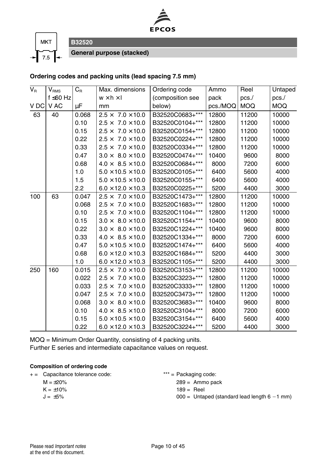



**General purpose (stacked)**

**B32520**

#### **Ordering codes and packing units (lead spacing 7.5 mm)**

| $V_{\rm R}$ | $V_{\rm RMS}$  | $C_R$   | Max. dimensions                  | Ordering code    | Ammo     | Reel       | Untaped    |
|-------------|----------------|---------|----------------------------------|------------------|----------|------------|------------|
|             | $f \leq 60$ Hz |         | $w \times h \times I$            | (composition see | pack     | pcs.       | pcs.       |
| V DC        | V AC           | $\mu$ F | mm                               | below)           | pcs./MOQ | <b>MOQ</b> | <b>MOQ</b> |
| 63          | 40             | 0.068   | $2.5 \times 7.0 \times 10.0$     | B32520C0683+***  | 12800    | 11200      | 10000      |
|             |                | 0.10    | $2.5 \times 7.0 \times 10.0$     | B32520C0104+***  | 12800    | 11200      | 10000      |
|             |                | 0.15    | $2.5 \times 7.0 \times 10.0$     | B32520C0154+***  | 12800    | 11200      | 10000      |
|             |                | 0.22    | $2.5 \times 7.0 \times 10.0$     | B32520C0224+***  | 12800    | 11200      | 10000      |
|             |                | 0.33    | $2.5 \times 7.0 \times 10.0$     | B32520C0334+***  | 12800    | 11200      | 10000      |
|             |                | 0.47    | $3.0 \times 8.0 \times 10.0$     | B32520C0474+***  | 10400    | 9600       | 8000       |
|             |                | 0.68    | $4.0 \times 8.5 \times 10.0$     | B32520C0684+***  | 8000     | 7200       | 6000       |
|             |                | 1.0     | $5.0 \times 10.5 \times 10.0$    | B32520C0105+***  | 6400     | 5600       | 4000       |
|             |                | 1.5     | $5.0 \times 10.5 \times 10.0$    | B32520C0155+***  | 6400     | 5600       | 4000       |
|             |                | 2.2     | $6.0 \times 12.0 \times 10.3$    | B32520C0225+***  | 5200     | 4400       | 3000       |
| 100         | 63             | 0.047   | $2.5 \times 7.0 \times 10.0$     | B32520C1473+***  | 12800    | 11200      | 10000      |
|             |                | 0.068   | $2.5 \times 7.0 \times 10.0$     | B32520C1683+***  | 12800    | 11200      | 10000      |
|             |                | 0.10    | $2.5 \times 7.0 \times 10.0$     | B32520C1104+***  | 12800    | 11200      | 10000      |
|             |                | 0.15    | $3.0 \times 8.0 \times 10.0$     | B32520C1154+***  | 10400    | 9600       | 8000       |
|             |                | 0.22    | $3.0 \times 8.0 \times 10.0$     | B32520C1224+***  | 10400    | 9600       | 8000       |
|             |                | 0.33    | $4.0 \times 8.5 \times 10.0$     | B32520C1334+***  | 8000     | 7200       | 6000       |
|             |                | 0.47    | $5.0 \times 10.5 \times 10.0$    | B32520C1474+***  | 6400     | 5600       | 4000       |
|             |                | 0.68    | $6.0 \times 12.0 \times 10.3$    | B32520C1684+***  | 5200     | 4400       | 3000       |
|             |                | 1.0     | $6.0 \times 12.0 \times 10.3$    | B32520C1105+***  | 5200     | 4400       | 3000       |
| 250         | 160            | 0.015   | $2.5 \times 7.0 \times 10.0$     | B32520C3153+***  | 12800    | 11200      | 10000      |
|             |                | 0.022   | $7.0 \times 10.0$<br>$2.5\times$ | B32520C3223+***  | 12800    | 11200      | 10000      |
|             |                | 0.033   | $2.5 \times 7.0 \times 10.0$     | B32520C3333+***  | 12800    | 11200      | 10000      |
|             |                | 0.047   | $2.5 \times 7.0 \times 10.0$     | B32520C3473+***  | 12800    | 11200      | 10000      |
|             |                | 0.068   | $3.0 \times 8.0 \times 10.0$     | B32520C3683+***  | 10400    | 9600       | 8000       |
|             |                | 0.10    | $4.0 \times 8.5 \times 10.0$     | B32520C3104+***  | 8000     | 7200       | 6000       |
|             |                | 0.15    | $5.0 \times 10.5 \times 10.0$    | B32520C3154+***  | 6400     | 5600       | 4000       |
|             |                | 0.22    | $6.0 \times 12.0 \times 10.3$    | B32520C3224+***  | 5200     | 4400       | 3000       |

MOQ = Minimum Order Quantity, consisting of 4 packing units. Further E series and intermediate capacitance values on request.

- + = Capacitance tolerance code: \*\*\* = Packaging code:
	- $M = \pm 20\%$
	- $K = \pm 10\%$
	- $J = \pm 5\%$

- 289 = Ammo pack
- $189 =$  Reel
- $000 =$  Untaped (standard lead length  $6 1$  mm)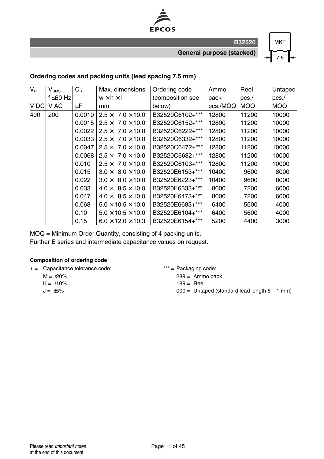

**General purpose (stacked)**

**MKT**  $7.5$ 

#### **Ordering codes and packing units (lead spacing 7.5 mm)**

| $V_R$ | $\mathsf{V}_{\texttt{RMS}}$ | $C_{\rm R}$ | Max. dimensions                           | Ordering code    | Ammo     | Reel       | Untaped    |
|-------|-----------------------------|-------------|-------------------------------------------|------------------|----------|------------|------------|
|       | f ≤60 Hz                    |             | $w \times h \times I$                     | (composition see | pack     | pcs.       | pcs.       |
| V DC  | V AC                        | μF          | mm                                        | below)           | pcs./MOQ | <b>MOQ</b> | <b>MOQ</b> |
| 400   | 200                         | 0.0010      | $2.5 \times 7.0 \times 10.0$              | B32520C6102+***  | 12800    | 11200      | 10000      |
|       |                             | 0.0015      | $2.5 \times 7.0 \times 10.0$              | B32520C6152+***  | 12800    | 11200      | 10000      |
|       |                             | 0.0022      | $2.5 \times 7.0 \times 10.0$              | B32520C6222+***  | 12800    | 11200      | 10000      |
|       |                             |             | $0.0033$   2.5 $\times$ 7.0 $\times$ 10.0 | B32520C6332+***  | 12800    | 11200      | 10000      |
|       |                             | 0.0047      | $2.5 \times 7.0 \times 10.0$              | B32520C6472+***  | 12800    | 11200      | 10000      |
|       |                             | 0.0068      | $2.5 \times 7.0 \times 10.0$              | B32520C6682+***  | 12800    | 11200      | 10000      |
|       |                             | 0.010       | $2.5 \times 7.0 \times 10.0$              | B32520C6103+***  | 12800    | 11200      | 10000      |
|       |                             | 0.015       | $8.0 \times 10.0$<br>$3.0 \times$         | B32520E6153+***  | 10400    | 9600       | 8000       |
|       |                             | 0.022       | $3.0 \times 8.0 \times 10.0$              | B32520E6223+***  | 10400    | 9600       | 8000       |
|       |                             | 0.033       | $4.0 \times 8.5 \times 10.0$              | B32520E6333+***  | 8000     | 7200       | 6000       |
|       |                             | 0.047       | $4.0 \times 8.5 \times 10.0$              | B32520E6473+***  | 8000     | 7200       | 6000       |
|       |                             | 0.068       | $5.0 \times 10.5 \times 10.0$             | B32520E6683+***  | 6400     | 5600       | 4000       |
|       |                             | 0.10        | $5.0 \times 10.5 \times 10.0$             | B32520E6104+***  | 6400     | 5600       | 4000       |
|       |                             | 0.15        | $6.0 \times 12.0 \times 10.3$             | B32520E6154+***  | 5200     | 4400       | 3000       |

MOQ = Minimum Order Quantity, consisting of 4 packing units.

Further E series and intermediate capacitance values on request.

#### **Composition of ordering code**

+ = Capacitance tolerance code: \*\*\* = Packaging code:

- $M = +20%$
- $K = \pm 10\%$
- $J = +5\%$

289 = Ammo pack

- $189 =$ Reel
- $000 =$  Untaped (standard lead length  $6 1$  mm)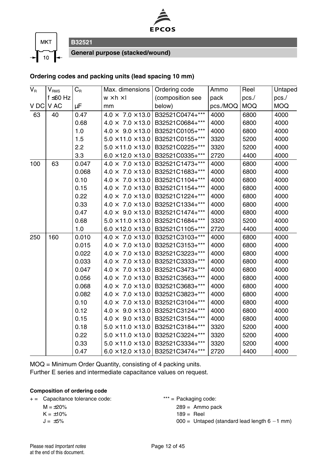



**B32521 General purpose (stacked/wound)**

#### **Ordering codes and packing units (lead spacing 10 mm)**

| $\overline{V_{\rm R}}$ | $\mathsf{V}_{\mathsf{RMS}}$ | $C_R$ | Max. dimensions                   | Ordering code    | Ammo     | Reel       | Untaped    |
|------------------------|-----------------------------|-------|-----------------------------------|------------------|----------|------------|------------|
|                        | f ≤60 Hz                    |       | $w \times h \times I$             | (composition see | pack     | pcs.       | pcs.       |
| V DC                   | V AC                        | μF    | mm                                | below)           | pcs./MOQ | <b>MOQ</b> | <b>MOQ</b> |
| 63                     | 40                          | 0.47  | $7.0 \times 13.0$<br>$4.0 \times$ | B32521C0474+***  | 4000     | 6800       | 4000       |
|                        |                             | 0.68  | $7.0 \times 13.0$<br>$4.0 \times$ | B32521C0684+***  | 4000     | 6800       | 4000       |
|                        |                             | 1.0   | $4.0 \times 9.0 \times 13.0$      | B32521C0105+***  | 4000     | 6800       | 4000       |
|                        |                             | 1.5   | $5.0 \times 11.0 \times 13.0$     | B32521C0155+***  | 3320     | 5200       | 4000       |
|                        |                             | 2.2   | $5.0 \times 11.0 \times 13.0$     | B32521C0225+***  | 3320     | 5200       | 4000       |
|                        |                             | 3.3   | $6.0 \times 12.0 \times 13.0$     | B32521C0335+***  | 2720     | 4400       | 4000       |
| 100                    | 63                          | 0.047 | $4.0 \times 7.0 \times 13.0$      | B32521C1473+***  | 4000     | 6800       | 4000       |
|                        |                             | 0.068 | $4.0 \times 7.0 \times 13.0$      | B32521C1683+***  | 4000     | 6800       | 4000       |
|                        |                             | 0.10  | $7.0 \times 13.0$<br>$4.0 \times$ | B32521C1104+***  | 4000     | 6800       | 4000       |
|                        |                             | 0.15  | $7.0 \times 13.0$<br>$4.0 \times$ | B32521C1154+***  | 4000     | 6800       | 4000       |
|                        |                             | 0.22  | $7.0 \times 13.0$<br>$4.0 \times$ | B32521C1224+***  | 4000     | 6800       | 4000       |
|                        |                             | 0.33  | $4.0 \times 7.0 \times 13.0$      | B32521C1334+***  | 4000     | 6800       | 4000       |
|                        |                             | 0.47  | $4.0 \times 9.0 \times 13.0$      | B32521C1474+***  | 4000     | 6800       | 4000       |
|                        |                             | 0.68  | $5.0 \times 11.0 \times 13.0$     | B32521C1684+***  | 3320     | 5200       | 4000       |
|                        |                             | 1.0   | $6.0 \times 12.0 \times 13.0$     | B32521C1105+***  | 2720     | 4400       | 4000       |
| 250                    | 160                         | 0.010 | $4.0 \times 7.0 \times 13.0$      | B32521C3103+***  | 4000     | 6800       | 4000       |
|                        |                             | 0.015 | $7.0 \times 13.0$<br>$4.0 \times$ | B32521C3153+***  | 4000     | 6800       | 4000       |
|                        |                             | 0.022 | $7.0 \times 13.0$<br>$4.0 \times$ | B32521C3223+***  | 4000     | 6800       | 4000       |
|                        |                             | 0.033 | $7.0 \times 13.0$<br>$4.0 \times$ | B32521C3333+***  | 4000     | 6800       | 4000       |
|                        |                             | 0.047 | $7.0 \times 13.0$<br>$4.0 \times$ | B32521C3473+***  | 4000     | 6800       | 4000       |
|                        |                             | 0.056 | $4.0 \times$<br>$7.0 \times 13.0$ | B32521C3563+***  | 4000     | 6800       | 4000       |
|                        |                             | 0.068 | $4.0 \times 7.0 \times 13.0$      | B32521C3683+***  | 4000     | 6800       | 4000       |
|                        |                             | 0.082 | $4.0 \times 7.0 \times 13.0$      | B32521C3823+***  | 4000     | 6800       | 4000       |
|                        |                             | 0.10  | $7.0 \times 13.0$<br>$4.0 \times$ | B32521C3104+***  | 4000     | 6800       | 4000       |
|                        |                             | 0.12  | $4.0 \times 9.0 \times 13.0$      | B32521C3124+***  | 4000     | 6800       | 4000       |
|                        |                             | 0.15  | $4.0 \times 9.0 \times 13.0$      | B32521C3154+***  | 4000     | 6800       | 4000       |
|                        |                             | 0.18  | $5.0 \times 11.0 \times 13.0$     | B32521C3184+***  | 3320     | 5200       | 4000       |
|                        |                             | 0.22  | $5.0 \times 11.0 \times 13.0$     | B32521C3224+***  | 3320     | 5200       | 4000       |
|                        |                             | 0.33  | $5.0 \times 11.0 \times 13.0$     | B32521C3334+***  | 3320     | 5200       | 4000       |
|                        |                             | 0.47  | $6.0 \times 12.0 \times 13.0$     | B32521C3474+***  | 2720     | 4400       | 4000       |

MOQ = Minimum Order Quantity, consisting of 4 packing units. Further E series and intermediate capacitance values on request.

#### **Composition of ordering code**

+ = Capacitance tolerance code: \*\*\* = Packaging code:

 $M = +20%$ 

 $K = \pm 10\%$ 

 $J = \pm 5\%$ 

 $289 =$  Ammo pack

189 = Reel

 $000 =$  Untaped (standard lead length  $6 - 1$  mm)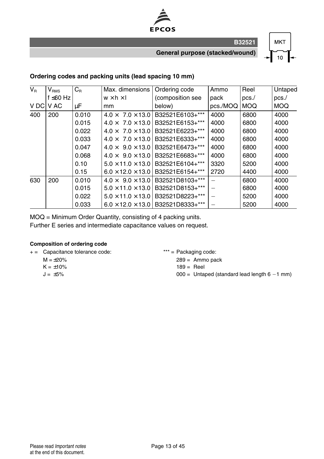

**General purpose (stacked/wound)**

**MKT**  $10$ 

**B32521**

#### **Ordering codes and packing units (lead spacing 10 mm)**

| $V_{\rm R}$ | $V_{\rm RMS}$  | $C_{\rm R}$ | Max. dimensions               | Ordering code    | Ammo     | Reel       | Untaped    |
|-------------|----------------|-------------|-------------------------------|------------------|----------|------------|------------|
|             | f $\leq 60$ Hz |             | $w \times h \times I$         | (composition see | pack     | pcs.       | pcs.       |
| V DC        | V AC           | μF          | mm                            | below)           | pcs./MOQ | <b>MOQ</b> | <b>MOQ</b> |
| 400         | 200            | 0.010       | $4.0 \times 7.0 \times 13.0$  | B32521E6103+***  | 4000     | 6800       | 4000       |
|             |                | 0.015       | $4.0 \times 7.0 \times 13.0$  | B32521E6153+***  | 4000     | 6800       | 4000       |
|             |                | 0.022       | $4.0 \times 7.0 \times 13.0$  | B32521E6223+***  | 4000     | 6800       | 4000       |
|             |                | 0.033       | $4.0 \times 7.0 \times 13.0$  | B32521E6333+***  | 4000     | 6800       | 4000       |
|             |                | 0.047       | $4.0 \times 9.0 \times 13.0$  | B32521E6473+***  | 4000     | 6800       | 4000       |
|             |                | 0.068       | $4.0 \times 9.0 \times 13.0$  | B32521E6683+***  | 4000     | 6800       | 4000       |
|             |                | 0.10        | $5.0 \times 11.0 \times 13.0$ | B32521E6104+***  | 3320     | 5200       | 4000       |
|             |                | 0.15        | $6.0 \times 12.0 \times 13.0$ | B32521E6154+***  | 2720     | 4400       | 4000       |
| 630         | 200            | 0.010       | $4.0 \times 9.0 \times 13.0$  | B32521D8103+***  |          | 6800       | 4000       |
|             |                | 0.015       | $5.0 \times 11.0 \times 13.0$ | B32521D8153+***  |          | 6800       | 4000       |
|             |                | 0.022       | $5.0 \times 11.0 \times 13.0$ | B32521D8223+***  |          | 5200       | 4000       |
|             |                | 0.033       | $6.0 \times 12.0 \times 13.0$ | B32521D8333+***  |          | 5200       | 4000       |

MOQ = Minimum Order Quantity, consisting of 4 packing units.

Further E series and intermediate capacitance values on request.

#### **Composition of ordering code**

+ = Capacitance tolerance code: \*\*\* = Packaging code:

- $M = \pm 20\%$
- $K = +10%$
- $J = \pm 5\%$

289 = Ammo pack

- $189 =$  Reel
- $000 =$  Untaped (standard lead length  $6 1$  mm)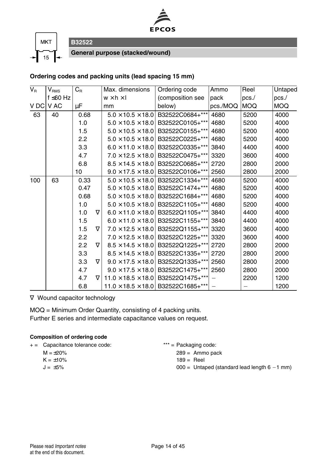



**General purpose (stacked/wound)**

#### **Ordering codes and packing units (lead spacing 15 mm)**

| $V_{\rm R}$ | $V_{\rm RMS}$  | $C_R$ |          | Max. dimensions                | Ordering code                                      | Ammo     | Reel       | Untaped    |
|-------------|----------------|-------|----------|--------------------------------|----------------------------------------------------|----------|------------|------------|
|             | f $\leq 60$ Hz |       |          | $w \times h \times I$          | (composition see                                   | pack     | pcs.       | pcs.       |
| V DC V AC   |                | μF    |          | mm                             | below)                                             | pcs./MOQ | <b>MOQ</b> | <b>MOQ</b> |
| 63          | 40             | 0.68  |          | $5.0 \times 10.5 \times 18.0$  | B32522C0684+***                                    | 4680     | 5200       | 4000       |
|             |                | 1.0   |          | $5.0 \times 10.5 \times 18.0$  | B32522C0105+***                                    | 4680     | 5200       | 4000       |
|             |                | 1.5   |          | $5.0 \times 10.5 \times 18.0$  | B32522C0155+***                                    | 4680     | 5200       | 4000       |
|             |                | 2.2   |          | $5.0 \times 10.5 \times 18.0$  | B32522C0225+***                                    | 4680     | 5200       | 4000       |
|             |                | 3.3   |          | $6.0 \times 11.0 \times 18.0$  | B32522C0335+***                                    | 3840     | 4400       | 4000       |
|             |                | 4.7   |          | $7.0 \times 12.5 \times 18.0$  | B32522C0475+*** 3320                               |          | 3600       | 4000       |
|             |                | 6.8   |          | $8.5 \times 14.5 \times 18.0$  | B32522C0685+***                                    | 2720     | 2800       | 2000       |
|             |                | 10    |          |                                | $9.0 \times 17.5 \times 18.0$ B32522C0106+*** 2560 |          | 2800       | 2000       |
| 100         | 63             | 0.33  |          |                                | $5.0 \times 10.5 \times 18.0$ B32522C1334+***      | 4680     | 5200       | 4000       |
|             |                | 0.47  |          | $5.0 \times 10.5 \times 18.0$  | B32522C1474+***                                    | 4680     | 5200       | 4000       |
|             |                | 0.68  |          | $5.0 \times 10.5 \times 18.0$  | B32522C1684+***                                    | 4680     | 5200       | 4000       |
|             |                | 1.0   |          | $5.0 \times 10.5 \times 18.0$  | B32522C1105+***                                    | 4680     | 5200       | 4000       |
|             |                | 1.0   | $\nabla$ | $6.0 \times 11.0 \times 18.0$  | B32522Q1105+***                                    | 3840     | 4400       | 4000       |
|             |                | 1.5   |          | $6.0 \times 11.0 \times 18.0$  | B32522C1155+***                                    | 3840     | 4400       | 4000       |
|             |                | 1.5   | $\nabla$ | $7.0 \times 12.5 \times 18.0$  | B32522Q1155+***                                    | 3320     | 3600       | 4000       |
|             |                | 2.2   |          | $7.0 \times 12.5 \times 18.0$  | B32522C1225+***                                    | 3320     | 3600       | 4000       |
|             |                | 2.2   | $\nabla$ | $8.5 \times 14.5 \times 18.0$  | B32522Q1225+***                                    | 2720     | 2800       | 2000       |
|             |                | 3.3   |          | $8.5 \times 14.5 \times 18.0$  | B32522C1335+***                                    | 2720     | 2800       | 2000       |
|             |                | 3.3   | $\nabla$ | $9.0 \times 17.5 \times 18.0$  | B32522Q1335+***                                    | 2560     | 2800       | 2000       |
|             |                | 4.7   |          | $9.0 \times 17.5 \times 18.0$  | B32522C1475+***                                    | 2560     | 2800       | 2000       |
|             |                | 4.7   | $\nabla$ | $11.0 \times 18.5 \times 18.0$ | B32522Q1475+***                                    |          | 2200       | 1200       |
|             |                | 6.8   |          |                                | $11.0 \times 18.5 \times 18.0$ B32522C1685+***     |          |            | 1200       |

∇ Wound capacitor technology

MOQ = Minimum Order Quantity, consisting of 4 packing units. Further E series and intermediate capacitance values on request.

| + = Capacitance tolerance code: | $***$ = Packaging code:                        |
|---------------------------------|------------------------------------------------|
| $M = +20\%$                     | $289 =$ Ammo pack                              |
| $K = \pm 10\%$                  | $189 =$ Reel                                   |
| $J = +5\%$                      | $000 =$ Untaped (standard lead length 6 -1 mm) |
|                                 |                                                |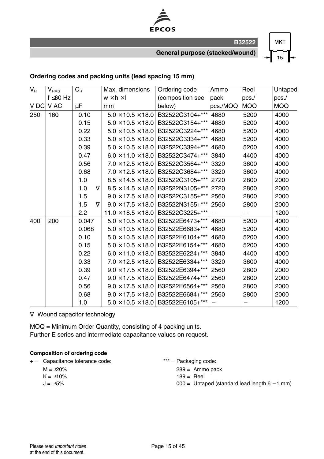

**General purpose (stacked/wound)**

**MKT**  $15$ 

#### **Ordering codes and packing units (lead spacing 15 mm)**

| $\overline{V_{\rm R}}$ | $V_{\rm RMS}$  | $C_R$           | Max. dimensions                | Ordering code                                 | Ammo     | Reel       | Untaped    |
|------------------------|----------------|-----------------|--------------------------------|-----------------------------------------------|----------|------------|------------|
|                        | $f \leq 60$ Hz |                 | $w \times h \times I$          | (composition see                              | pack     | pcs.       | pcs./      |
| V DC                   | V AC           | μF              | mm                             | below)                                        | pcs./MOQ | <b>MOQ</b> | <b>MOQ</b> |
| 250                    | 160            | 0.10            | $5.0 \times 10.5 \times 18.0$  | B32522C3104+***                               | 4680     | 5200       | 4000       |
|                        |                | 0.15            | $5.0 \times 10.5 \times 18.0$  | B32522C3154+***                               | 4680     | 5200       | 4000       |
|                        |                | 0.22            | $5.0 \times 10.5 \times 18.0$  | B32522C3224+***                               | 4680     | 5200       | 4000       |
|                        |                | 0.33            | $5.0 \times 10.5 \times 18.0$  | B32522C3334+***                               | 4680     | 5200       | 4000       |
|                        |                | 0.39            | $5.0 \times 10.5 \times 18.0$  | B32522C3394+***                               | 4680     | 5200       | 4000       |
|                        |                | 0.47            | $6.0 \times 11.0 \times 18.0$  | B32522C3474+***                               | 3840     | 4400       | 4000       |
|                        |                | 0.56            | $7.0 \times 12.5 \times 18.0$  | B32522C3564+***                               | 3320     | 3600       | 4000       |
|                        |                | 0.68            | $7.0 \times 12.5 \times 18.0$  | B32522C3684+***                               | 3320     | 3600       | 4000       |
|                        |                | 1.0             | $8.5 \times 14.5 \times 18.0$  | B32522C3105+***                               | 2720     | 2800       | 2000       |
|                        |                | 1.0<br>$\nabla$ | $8.5 \times 14.5 \times 18.0$  | B32522N3105+***                               | 2720     | 2800       | 2000       |
|                        |                | 1.5             | $9.0 \times 17.5 \times 18.0$  | B32522C3155+***                               | 2560     | 2800       | 2000       |
|                        |                | $\nabla$<br>1.5 | $9.0 \times 17.5 \times 18.0$  | B32522N3155+***                               | 2560     | 2800       | 2000       |
|                        |                | 2.2             | $11.0 \times 18.5 \times 18.0$ | B32522C3225+***                               |          |            | 1200       |
| 400                    | 200            | 0.047           | $5.0 \times 10.5 \times 18.0$  | B32522E6473+***                               | 4680     | 5200       | 4000       |
|                        |                | 0.068           | $5.0 \times 10.5 \times 18.0$  | B32522E6683+***                               | 4680     | 5200       | 4000       |
|                        |                | 0.10            | $5.0 \times 10.5 \times 18.0$  | B32522E6104+***                               | 4680     | 5200       | 4000       |
|                        |                | 0.15            | $5.0 \times 10.5 \times 18.0$  | B32522E6154+***                               | 4680     | 5200       | 4000       |
|                        |                | 0.22            | $6.0 \times 11.0 \times 18.0$  | B32522E6224+***                               | 3840     | 4400       | 4000       |
|                        |                | 0.33            | $7.0 \times 12.5 \times 18.0$  | B32522E6334+***                               | 3320     | 3600       | 4000       |
|                        |                | 0.39            | $9.0 \times 17.5 \times 18.0$  | B32522E6394+***                               | 2560     | 2800       | 2000       |
|                        |                | 0.47            | $9.0 \times 17.5 \times 18.0$  | B32522E6474+***                               | 2560     | 2800       | 2000       |
|                        |                | 0.56            | $9.0 \times 17.5 \times 18.0$  | B32522E6564+***                               | 2560     | 2800       | 2000       |
|                        |                | 0.68            | $9.0 \times 17.5 \times 18.0$  | B32522E6684+***                               | 2560     | 2800       | 2000       |
|                        |                | 1.0             |                                | $5.0 \times 10.5 \times 18.0$ B32522E6105+*** |          |            | 1200       |

∇ Wound capacitor technology

MOQ = Minimum Order Quantity, consisting of 4 packing units. Further E series and intermediate capacitance values on request.

| Capacitance tolerance code:<br>$+ =$ |  |  |
|--------------------------------------|--|--|
|--------------------------------------|--|--|

- $M = \pm 20\%$  $K = \pm 10\%$
- $J = \pm 5\%$
- $*** =$  Packaging code:
	- 289 = Ammo pack
	- $189 =$  Reel
	- $000 =$  Untaped (standard lead length  $6 1$  mm)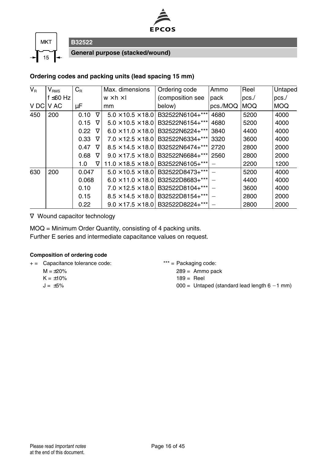



**General purpose (stacked/wound)**

#### **Ordering codes and packing units (lead spacing 15 mm)**

| $V_{\rm R}$ | $V_{RMS}$      | $C_{\rm R}$ |          | Max. dimensions                | Ordering code    | Ammo     | Reel       | Untaped    |
|-------------|----------------|-------------|----------|--------------------------------|------------------|----------|------------|------------|
|             | f $\leq 60$ Hz |             |          | $w \times h \times I$          | (composition see | pack     | pcs.       | pcs.       |
|             | V DC V AC      | μF          |          | mm                             | below)           | pcs./MOQ | <b>MOQ</b> | <b>MOQ</b> |
| 450         | 200            | 0.10        | $\nabla$ | $5.0 \times 10.5 \times 18.0$  | B32522N6104+***  | 4680     | 5200       | 4000       |
|             |                | 0.15        | $\nabla$ | $5.0 \times 10.5 \times 18.0$  | B32522N6154+***  | 4680     | 5200       | 4000       |
|             |                | 0.22        | $\nabla$ | $6.0 \times 11.0 \times 18.0$  | B32522N6224+***  | 3840     | 4400       | 4000       |
|             |                | 0.33        | $\nabla$ | $7.0 \times 12.5 \times 18.0$  | B32522N6334+***  | 3320     | 3600       | 4000       |
|             |                | 0.47        | $\nabla$ | $8.5 \times 14.5 \times 18.0$  | B32522N6474+***  | 2720     | 2800       | 2000       |
|             |                | 0.68        | ▽        | $9.0 \times 17.5 \times 18.0$  | B32522N6684+***  | 2560     | 2800       | 2000       |
|             |                | 1.0         | $\nabla$ | $11.0 \times 18.5 \times 18.0$ | B32522N6105+***  |          | 2200       | 1200       |
| 630         | 200            | 0.047       |          | $5.0 \times 10.5 \times 18.0$  | B32522D8473+***  |          | 5200       | 4000       |
|             |                | 0.068       |          | $6.0 \times 11.0 \times 18.0$  | B32522D8683+***  |          | 4400       | 4000       |
|             |                | 0.10        |          | $7.0 \times 12.5 \times 18.0$  | B32522D8104+***  |          | 3600       | 4000       |
|             |                | 0.15        |          | $8.5 \times 14.5 \times 18.0$  | B32522D8154+***  |          | 2800       | 2000       |
|             |                | 0.22        |          | $9.0 \times 17.5 \times 18.0$  | B32522D8224+***  |          | 2800       | 2000       |

∇ Wound capacitor technology

MOQ = Minimum Order Quantity, consisting of 4 packing units. Further E series and intermediate capacitance values on request.

#### **Composition of ordering code**

- + = Capacitance tolerance code: \*\*\* = Packaging code:
	- $M = +20%$
	- $K = \pm 10\%$
	- $J = \pm 5\%$

 $289 =$  Ammo pack

- $189 =$ Reel
- $000 =$  Untaped (standard lead length  $6 1$  mm)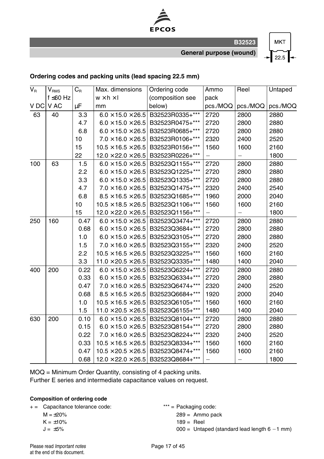

**General purpose (wound)**

## **MKT**  $22.5$

#### **Ordering codes and packing units (lead spacing 22.5 mm)**

| $V_{R}$ | $V_{\rm RMS}$  | $C_{\rm R}$ | Max. dimensions                | Ordering code    | Ammo                     | Reel     | Untaped  |
|---------|----------------|-------------|--------------------------------|------------------|--------------------------|----------|----------|
|         | $f \leq 60$ Hz |             | $w \times h \times l$          | (composition see | pack                     |          |          |
| V DC    | V AC           | μF          | mm                             | below)           | pcs./MOQ                 | pcs./MOQ | pcs./MOQ |
| 63      | 40             | 3.3         | $6.0 \times 15.0 \times 26.5$  | B32523R0335+***  | 2720                     | 2800     | 2880     |
|         |                | 4.7         | $6.0 \times 15.0 \times 26.5$  | B32523R0475+***  | 2720                     | 2800     | 2880     |
|         |                | 6.8         | $6.0 \times 15.0 \times 26.5$  | B32523R0685+***  | 2720                     | 2800     | 2880     |
|         |                | 10          | $7.0 \times 16.0 \times 26.5$  | B32523R0106+***  | 2320                     | 2400     | 2520     |
|         |                | 15          | $10.5 \times 16.5 \times 26.5$ | B32523R0156+***  | 1560                     | 1600     | 2160     |
|         |                | 22          | $12.0 \times 22.0 \times 26.5$ | B32523R0226+***  |                          |          | 1800     |
| 100     | 63             | 1.5         | $6.0 \times 15.0 \times 26.5$  | B32523Q1155+***  | 2720                     | 2800     | 2880     |
|         |                | 2.2         | $6.0 \times 15.0 \times 26.5$  | B32523Q1225+***  | 2720                     | 2800     | 2880     |
|         |                | 3.3         | $6.0 \times 15.0 \times 26.5$  | B32523Q1335+***  | 2720                     | 2800     | 2880     |
|         |                | 4.7         | $7.0 \times 16.0 \times 26.5$  | B32523Q1475+***  | 2320                     | 2400     | 2540     |
|         |                | 6.8         | $8.5 \times 16.5 \times 26.5$  | B32523Q1685+***  | 1960                     | 2000     | 2040     |
|         |                | 10          | $10.5 \times 18.5 \times 26.5$ | B32523Q1106+***  | 1560                     | 1600     | 2160     |
|         |                | 15          | $12.0 \times 22.0 \times 26.5$ | B32523Q1156+***  | $\overline{\phantom{0}}$ |          | 1800     |
| 250     | 160            | 0.47        | $6.0 \times 15.0 \times 26.5$  | B32523Q3474+***  | 2720                     | 2800     | 2880     |
|         |                | 0.68        | $6.0 \times 15.0 \times 26.5$  | B32523Q3684+***  | 2720                     | 2800     | 2880     |
|         |                | 1.0         | $6.0 \times 15.0 \times 26.5$  | B32523Q3105+***  | 2720                     | 2800     | 2880     |
|         |                | 1.5         | $7.0 \times 16.0 \times 26.5$  | B32523Q3155+***  | 2320                     | 2400     | 2520     |
|         |                | 2.2         | $10.5 \times 16.5 \times 26.5$ | B32523Q3225+***  | 1560                     | 1600     | 2160     |
|         |                | 3.3         | $11.0 \times 20.5 \times 26.5$ | B32523Q3335+***  | 1480                     | 1400     | 2040     |
| 400     | 200            | 0.22        | $6.0 \times 15.0 \times 26.5$  | B32523Q6224+***  | 2720                     | 2800     | 2880     |
|         |                | 0.33        | $6.0 \times 15.0 \times 26.5$  | B32523Q6334+***  | 2720                     | 2800     | 2880     |
|         |                | 0.47        | $7.0 \times 16.0 \times 26.5$  | B32523Q6474+***  | 2320                     | 2400     | 2520     |
|         |                | 0.68        | $8.5 \times 16.5 \times 26.5$  | B32523Q6684+***  | 1920                     | 2000     | 2040     |
|         |                | 1.0         | $10.5 \times 16.5 \times 26.5$ | B32523Q6105+***  | 1560                     | 1600     | 2160     |
|         |                | 1.5         | $11.0 \times 20.5 \times 26.5$ | B32523Q6155+***  | 1480                     | 1400     | 2040     |
| 630     | 200            | 0.10        | $6.0 \times 15.0 \times 26.5$  | B32523Q8104+***  | 2720                     | 2800     | 2880     |
|         |                | 0.15        | $6.0 \times 15.0 \times 26.5$  | B32523Q8154+***  | 2720                     | 2800     | 2880     |
|         |                | 0.22        | $7.0 \times 16.0 \times 26.5$  | B32523Q8224+***  | 2320                     | 2400     | 2520     |
|         |                | 0.33        | $10.5 \times 16.5 \times 26.5$ | B32523Q8334+***  | 1560                     | 1600     | 2160     |
|         |                | 0.47        | $10.5 \times 20.5 \times 26.5$ | B32523Q8474+***  | 1560                     | 1600     | 2160     |
|         |                | 0.68        | $12.0 \times 22.0 \times 26.5$ | B32523Q8684+***  | —                        | -        | 1800     |

MOQ = Minimum Order Quantity, consisting of 4 packing units.

Further E series and intermediate capacitance values on request.

#### **Composition of ordering code**

+ = Capacitance tolerance code: \*\*\* = Packaging code:

 $M = \pm 20\%$ 

 $K = \pm 10\%$ 

 $J = \pm 5\%$ 

 $289 =$  Ammo pack

 $189 =$  Reel

 $000 =$  Untaped (standard lead length  $6 - 1$  mm)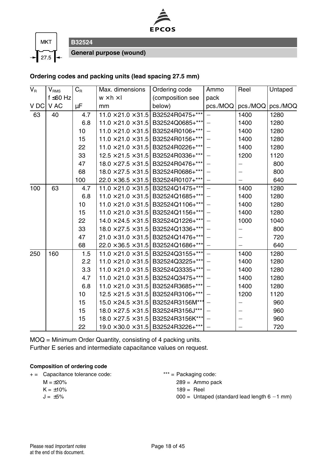



**General purpose (wound)**

**B32524**

#### **Ordering codes and packing units (lead spacing 27.5 mm)**

| $\overline{V_{\rm R}}$ | $V_{\rm RMS}$  | $C_R$ | Max. dimensions       | Ordering code                                  | Ammo                     | Reel                     | Untaped  |
|------------------------|----------------|-------|-----------------------|------------------------------------------------|--------------------------|--------------------------|----------|
|                        | f $\leq 60$ Hz |       | $w \times h \times I$ | (composition see                               | pack                     |                          |          |
| V DC                   | V AC           | μF    | mm                    | below)                                         | pcs./MOQ                 | pcs./MOQ                 | pcs./MOQ |
| 63                     | 40             | 4.7   |                       | $11.0 \times 21.0 \times 31.5$ B32524R0475+*** | $\overline{\phantom{0}}$ | 1400                     | 1280     |
|                        |                | 6.8   |                       | $11.0 \times 21.0 \times 31.5$ B32524Q0685+*** |                          | 1400                     | 1280     |
|                        |                | 10    |                       | $11.0 \times 21.0 \times 31.5$ B32524R0106+*** |                          | 1400                     | 1280     |
|                        |                | 15    |                       | $11.0 \times 21.0 \times 31.5$ B32524R0156+*** |                          | 1400                     | 1280     |
|                        |                | 22    |                       | $11.0 \times 21.0 \times 31.5$ B32524R0226+*** |                          | 1400                     | 1280     |
|                        |                | 33    |                       | $12.5 \times 21.5 \times 31.5$ B32524R0336+*** |                          | 1200                     | 1120     |
|                        |                | 47    |                       | $18.0 \times 27.5 \times 31.5$ B32524R0476+*** |                          | $\overline{\phantom{0}}$ | 800      |
|                        |                | 68    |                       | $18.0 \times 27.5 \times 31.5$ B32524R0686+*** |                          |                          | 800      |
|                        |                | 100   |                       | $22.0 \times 36.5 \times 31.5$ B32524R0107+*** |                          |                          | 640      |
| 100                    | 63             | 4.7   |                       | $11.0 \times 21.0 \times 31.5$ B32524Q1475+*** |                          | 1400                     | 1280     |
|                        |                | 6.8   |                       | $11.0 \times 21.0 \times 31.5$ B32524Q1685+*** |                          | 1400                     | 1280     |
|                        |                | 10    |                       | $11.0 \times 21.0 \times 31.5$ B32524Q1106+*** |                          | 1400                     | 1280     |
|                        |                | 15    |                       | $11.0 \times 21.0 \times 31.5$ B32524Q1156+*** |                          | 1400                     | 1280     |
|                        |                | 22    |                       | $14.0 \times 24.5 \times 31.5$ B32524Q1226+*** |                          | 1000                     | 1040     |
|                        |                | 33    |                       | $18.0 \times 27.5 \times 31.5$ B32524Q1336+*** |                          | $\overline{\phantom{0}}$ | 800      |
|                        |                | 47    |                       | $21.0 \times 31.0 \times 31.5$ B32524Q1476+*** |                          |                          | 720      |
|                        |                | 68    |                       | $22.0 \times 36.5 \times 31.5$ B32524Q1686+*** |                          |                          | 640      |
| 250                    | 160            | 1.5   |                       | $11.0 \times 21.0 \times 31.5$ B32524Q3155+*** |                          | 1400                     | 1280     |
|                        |                | 2.2   |                       | $11.0 \times 21.0 \times 31.5$ B32524Q3225+*** |                          | 1400                     | 1280     |
|                        |                | 3.3   |                       | $11.0 \times 21.0 \times 31.5$ B32524Q3335+*** |                          | 1400                     | 1280     |
|                        |                | 4.7   |                       | $11.0 \times 21.0 \times 31.5$ B32524Q3475+*** |                          | 1400                     | 1280     |
|                        |                | 6.8   |                       | $11.0 \times 21.0 \times 31.5$ B32524R3685+*** |                          | 1400                     | 1280     |
|                        |                | 10    |                       | $12.5 \times 21.5 \times 31.5$ B32524R3106+*** |                          | 1200                     | 1120     |
|                        |                | 15    |                       | $15.0 \times 24.5 \times 31.5$ B32524R3156M*** |                          | -                        | 960      |
|                        |                | 15    |                       | $18.0 \times 27.5 \times 31.5$ B32524R3156J*** |                          |                          | 960      |
|                        |                | 15    |                       | $18.0 \times 27.5 \times 31.5$ B32524R3156K*** |                          |                          | 960      |
|                        |                | 22    |                       | $19.0 \times 30.0 \times 31.5$ B32524R3226+*** |                          |                          | 720      |

MOQ = Minimum Order Quantity, consisting of 4 packing units. Further E series and intermediate capacitance values on request.

#### **Composition of ordering code**

| $+ =$ | Capacitance tolerance code: |  |
|-------|-----------------------------|--|
|-------|-----------------------------|--|

- $M = \pm 20\%$
- $K = \pm 10\%$
- $J = \pm 5\%$

 $*** =$  Packaging code:

- 289 = Ammo pack
- $189 =$  Reel
- $000 =$  Untaped (standard lead length  $6 1$  mm)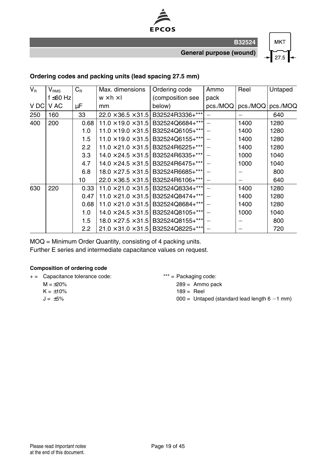

**General purpose (wound)**

## **MKT** 27.5

#### **Ordering codes and packing units (lead spacing 27.5 mm)**

| $V_{\rm R}$ | $\mathsf{V}_{\texttt{RMS}}$ | $C_R$         | Max. dimensions                | Ordering code                                  | Ammo     | Reel              | Untaped |
|-------------|-----------------------------|---------------|--------------------------------|------------------------------------------------|----------|-------------------|---------|
|             | f ≤60 Hz                    |               | $w \times h \times I$          | (composition see                               | pack     |                   |         |
| V DC        | V AC                        | μF            | mm                             | below)                                         | pcs./MOQ | pcs./MOQ pcs./MOQ |         |
| 250         | 160                         | 33            | $22.0 \times 36.5 \times 31.5$ | B32524R3336+***                                |          |                   | 640     |
| 400         | 200                         | 0.68          | $11.0 \times 19.0 \times 31.5$ | B32524Q6684+***                                |          | 1400              | 1280    |
|             |                             | 1.0           | $11.0 \times 19.0 \times 31.5$ | B32524Q6105+***                                |          | 1400              | 1280    |
|             |                             | 1.5           | $11.0 \times 19.0 \times 31.5$ | B32524Q6155+***                                |          | 1400              | 1280    |
|             |                             | $2.2^{\circ}$ | $11.0 \times 21.0 \times 31.5$ | B32524R6225+***                                |          | 1400              | 1280    |
|             |                             | 3.3           | $14.0 \times 24.5 \times 31.5$ | B32524R6335+***                                |          | 1000              | 1040    |
|             |                             | 4.7           | $14.0 \times 24.5 \times 31.5$ | B32524R6475+***                                |          | 1000              | 1040    |
|             |                             | 6.8           | $18.0 \times 27.5 \times 31.5$ | B32524R6685+***                                |          |                   | 800     |
|             |                             | 10            |                                | $22.0 \times 36.5 \times 31.5$ B32524R6106+*** |          |                   | 640     |
| 630         | 220                         | 0.33          | $11.0 \times 21.0 \times 31.5$ | B32524Q8334+***                                |          | 1400              | 1280    |
|             |                             | 0.47          | $11.0 \times 21.0 \times 31.5$ | B32524Q8474+***                                |          | 1400              | 1280    |
|             |                             | 0.68          | $11.0 \times 21.0 \times 31.5$ | B32524Q8684+***                                |          | 1400              | 1280    |
|             |                             | 1.0           | $14.0 \times 24.5 \times 31.5$ | B32524Q8105+***                                |          | 1000              | 1040    |
|             |                             | 1.5           | $18.0 \times 27.5 \times 31.5$ | B32524Q8155+***                                |          |                   | 800     |
|             |                             | 2.2           |                                | $21.0 \times 31.0 \times 31.5$ B32524Q8225+*** |          |                   | 720     |

MOQ = Minimum Order Quantity, consisting of 4 packing units. Further E series and intermediate capacitance values on request.

#### **Composition of ordering code**

- + = Capacitance tolerance code: \*\*\* = Packaging code:
	- $M = \pm 20\%$
	- $K = +10%$
	- $J = \pm 5\%$

289 = Ammo pack

- $189 =$  Reel
- $000 =$  Untaped (standard lead length  $6 1$  mm)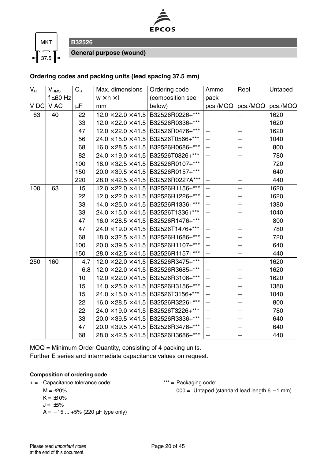



**General purpose (wound)**

**B32526**

#### **Ordering codes and packing units (lead spacing 37.5 mm)**

| $V_{\rm R}$ | $V_{\rm RMS}$ | $C_R$ | Max. dimensions                | Ordering code                                  | Ammo                     | Reel                     | Untaped  |
|-------------|---------------|-------|--------------------------------|------------------------------------------------|--------------------------|--------------------------|----------|
|             | f ≤60 Hz      |       | $w \times h \times I$          | (composition see                               | pack                     |                          |          |
| V DC        | V AC          | μF    | mm                             | below)                                         | pcs./MOQ                 | pcs./MOQ                 | pcs./MOQ |
| 63          | 40            | 22    |                                | $12.0 \times 22.0 \times 41.5$ B32526R0226+*** | $\equiv$                 | $\overline{\phantom{0}}$ | 1620     |
|             |               | 33    |                                | $12.0 \times 22.0 \times 41.5$ B32526R0336+*** | $\overline{\phantom{0}}$ |                          | 1620     |
|             |               | 47    | $12.0 \times 22.0 \times 41.5$ | B32526R0476+***                                |                          |                          | 1620     |
|             |               | 56    |                                | $24.0 \times 15.0 \times 41.5$ B32526T0566+*** |                          |                          | 1040     |
|             |               | 68    | $16.0 \times 28.5 \times 41.5$ | B32526R0686+***                                |                          | $\overline{\phantom{0}}$ | 800      |
|             |               | 82    |                                | $24.0 \times 19.0 \times 41.5$ B32526T0826+*** |                          |                          | 780      |
|             |               | 100   | $18.0 \times 32.5 \times 41.5$ | B32526R0107+***                                | $\equiv$                 |                          | 720      |
|             |               | 150   | $20.0 \times 39.5 \times 41.5$ | B32526R0157+***                                | $\overline{\phantom{0}}$ |                          | 640      |
|             |               | 220   |                                | $28.0 \times 42.5 \times 41.5$ B32526R0227A*** |                          |                          | 440      |
| 100         | 63            | 15    | $12.0 \times 22.0 \times 41.5$ | B32526R1156+***                                |                          | $\overline{\phantom{0}}$ | 1620     |
|             |               | 22    |                                | $12.0 \times 22.0 \times 41.5$ B32526R1226+*** |                          |                          | 1620     |
|             |               | 33    | $14.0 \times 25.0 \times 41.5$ | B32526R1336+***                                | $\overline{\phantom{0}}$ | -                        | 1380     |
|             |               | 33    |                                | $24.0 \times 15.0 \times 41.5$ B32526T1336+*** | $\overline{\phantom{0}}$ |                          | 1040     |
|             |               | 47    |                                | $16.0 \times 28.5 \times 41.5$ B32526R1476+*** |                          |                          | 800      |
|             |               | 47    | $24.0 \times 19.0 \times 41.5$ | B32526T1476+***                                |                          |                          | 780      |
|             |               | 68    |                                | $18.0 \times 32.5 \times 41.5$ B32526R1686+*** |                          |                          | 720      |
|             |               | 100   | $20.0 \times 39.5 \times 41.5$ | B32526R1107+***                                |                          |                          | 640      |
|             |               | 150   |                                | $28.0 \times 42.5 \times 41.5$ B32526R1157+*** | $\equiv$                 | -                        | 440      |
| 250         | 160           | 4.7   |                                | $12.0 \times 22.0 \times 41.5$ B32526R3475+*** |                          | $\overline{\phantom{0}}$ | 1620     |
|             |               | 6.8   | $12.0 \times 22.0 \times 41.5$ | B32526R3685+***                                |                          |                          | 1620     |
|             |               | 10    |                                | $12.0 \times 22.0 \times 41.5$ B32526R3106+*** |                          |                          | 1620     |
|             |               | 15    | $14.0 \times 25.0 \times 41.5$ | B32526R3156+***                                |                          | -                        | 1380     |
|             |               | 15    |                                | $24.0 \times 15.0 \times 41.5$ B32526T3156+*** | $\overline{\phantom{0}}$ |                          | 1040     |
|             |               | 22    | $16.0 \times 28.5 \times 41.5$ | B32526R3226+***                                |                          |                          | 800      |
|             |               | 22    | $24.0 \times 19.0 \times 41.5$ | B32526T3226+***                                |                          |                          | 780      |
|             |               | 33    |                                | $20.0 \times 39.5 \times 41.5$ B32526R3336+*** |                          |                          | 640      |
|             |               | 47    | $20.0 \times 39.5 \times 41.5$ | B32526R3476+***                                |                          |                          | 640      |
|             |               | 68    |                                | $28.0 \times 42.5 \times 41.5$ B32526R3686+*** |                          |                          | 440      |

MOQ = Minimum Order Quantity, consisting of 4 packing units.

Further E series and intermediate capacitance values on request.

#### **Composition of ordering code**

+ = Capacitance tolerance code: \*\*\* = Packaging code:

 $M = \pm 20\%$ 

$$
K=\pm10\%
$$

$$
J = \pm 5\%
$$

 $A = -15 ... +5% (220 \,\mu\text{F} \text{ type only})$ 

 $000 =$  Untaped (standard lead length  $6 - 1$  mm)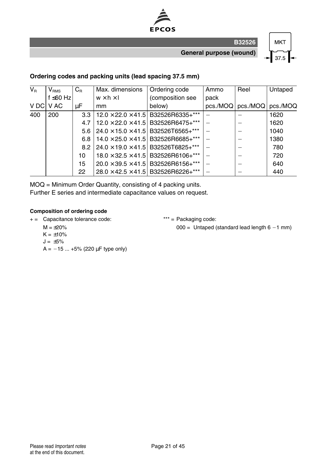

**General purpose (wound)**

**B32526**



#### **Ordering codes and packing units (lead spacing 37.5 mm)**

| $V_{\rm R}$ | $\mathsf{V}_{\texttt{RMS}}$ | $C_{\textrm{\tiny R}}$ | Max. dimensions       | Ordering code                                  | Ammo | Reel                       | Untaped |
|-------------|-----------------------------|------------------------|-----------------------|------------------------------------------------|------|----------------------------|---------|
|             | $f \leq 60$ Hz              |                        | $w \times h \times I$ | (composition see                               | pack |                            |         |
| V DC        | V AC                        | μF                     | mm                    | below)                                         |      | pcs./MOQ pcs./MOQ pcs./MOQ |         |
| 400         | 200                         | 3.3                    |                       | $12.0 \times 22.0 \times 41.5$ B32526R6335+*** |      |                            | 1620    |
|             |                             | 4.7                    |                       | $12.0 \times 22.0 \times 41.5$ B32526R6475+*** |      |                            | 1620    |
|             |                             | 5.6 <sub>1</sub>       |                       | $24.0 \times 15.0 \times 41.5$ B32526T6565+*** |      |                            | 1040    |
|             |                             | 6.8                    |                       | $14.0 \times 25.0 \times 41.5$ B32526R6685+*** |      |                            | 1380    |
|             |                             | $8.2$ I                |                       | $24.0 \times 19.0 \times 41.5$ B32526T6825+*** |      |                            | 780     |
|             |                             | 10                     |                       | $18.0 \times 32.5 \times 41.5$ B32526R6106+*** |      |                            | 720     |
|             |                             | 15                     |                       | $20.0 \times 39.5 \times 41.5$ B32526R6156+*** |      |                            | 640     |
|             |                             | 22                     |                       | $28.0 \times 42.5 \times 41.5$ B32526R6226+*** |      |                            | 440     |

MOQ = Minimum Order Quantity, consisting of 4 packing units. Further E series and intermediate capacitance values on request.

#### **Composition of ordering code**

+ = Capacitance tolerance code: \*\*\* = Packaging code:

 $M = \pm 20\%$ 

 $000 =$  Untaped (standard lead length  $6 - 1$  mm)

- $K = \pm 10\%$
- $J = \pm 5\%$
- $A = -15 ... +5% (220 \,\mu\text{F} \text{ type only})$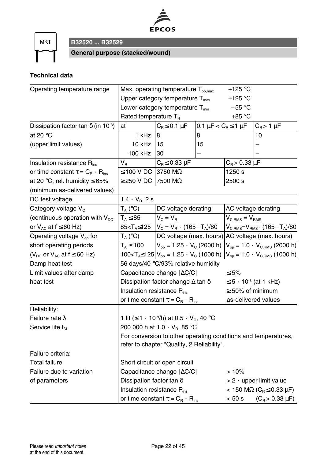

**MKT** 

**B32520 ... B32529**

**General purpose (stacked/wound)**

### **Technical data**

| Operating temperature range                            |                                        | Max. operating temperature $T_{op,max}$                               |                       | +125 $^{\circ}$ C                          |                                                                |
|--------------------------------------------------------|----------------------------------------|-----------------------------------------------------------------------|-----------------------|--------------------------------------------|----------------------------------------------------------------|
|                                                        |                                        | Upper category temperature $T_{\text{max}}$                           |                       | +125 $^{\circ}$ C                          |                                                                |
|                                                        |                                        | Lower category temperature $T_{min}$                                  |                       | $-55 °C$                                   |                                                                |
|                                                        | Rated temperature T <sub>R</sub>       |                                                                       |                       | $+85 °C$                                   |                                                                |
| Dissipation factor tan $\delta$ (in 10 <sup>-3</sup> ) | at                                     | $C_R \leq 0.1 \mu F$                                                  | 0.1 μF < $C_R$ ≤ 1 μF |                                            | $C_R$ > 1 $\mu$ F                                              |
| at 20 $\degree$ C                                      | 1 kHz                                  | 8                                                                     | 8                     |                                            | 10                                                             |
| (upper limit values)                                   | 10 kHz                                 | 15                                                                    | 15                    |                                            |                                                                |
|                                                        | 100 kHz                                | 30                                                                    |                       |                                            |                                                                |
| Insulation resistance R <sub>ins</sub>                 | $\mathsf{V}_\mathsf{R}$                | $C_R \leq 0.33 \mu F$                                                 |                       | $C_R$ > 0.33 $\mu$ F                       |                                                                |
| or time constant $\tau = C_{\rm R} \cdot R_{\rm ins}$  | $\leq$ 100 V DC                        | 3750 MΩ                                                               |                       | 1250 s                                     |                                                                |
| at 20 °C, rel. humidity $\leq 65\%$                    | $\geq$ 250 V DC                        | 7500 MΩ                                                               |                       | 2500 s                                     |                                                                |
| (minimum as-delivered values)                          |                                        |                                                                       |                       |                                            |                                                                |
| DC test voltage                                        | $1.4 \cdot V_B$ , 2 s                  |                                                                       |                       |                                            |                                                                |
| Category voltage V <sub>c</sub>                        | $T_A (°C)$                             | DC voltage derating                                                   |                       | AC voltage derating                        |                                                                |
| (continuous operation with $V_{\text{DC}}$             | $T_{A} \leq 85$                        | $V_{\odot} = V_{\rm B}$                                               |                       | $V_{C,RMS} = V_{RMS}$                      |                                                                |
| or $V_{AC}$ at $f \leq 60$ Hz)                         | 85 <t<sub>A≤125</t<sub>                | $V_c = V_R \cdot (165 - T_A)/80$                                      |                       | $V_{C,RMS} = V_{RMS} \cdot (165 - T_A)/80$ |                                                                |
| Operating voltage $V_{op}$ for                         | $T_A (°C)$                             | DC voltage (max. hours)                                               |                       | AC voltage (max. hours)                    |                                                                |
| short operating periods                                | $T_A \leq 100$                         | $V_{op}$ = 1.25 $\cdot$ V <sub>c</sub> (2000 h)                       |                       |                                            | $V_{op} = 1.0 \cdot V_{C,RMS}$ (2000 h)                        |
| ( $V_{DC}$ or $V_{AC}$ at $f \leq 60$ Hz)              |                                        | 100< $T_A \le 125$ $V_{op} = 1.25 \cdot V_c$ (1000 h)                 |                       |                                            | $V_{op} = 1.0 \cdot V_{C,RMS}$ (1000 h)                        |
| Damp heat test                                         |                                        | 56 days/40 °C/93% relative humidity                                   |                       |                                            |                                                                |
| Limit values after damp                                |                                        | Capacitance change $ \Delta C/C $                                     |                       | $\leq 5\%$                                 |                                                                |
| heat test                                              |                                        | Dissipation factor change $\Delta$ tan $\delta$                       |                       |                                            | $≤ 5 ⋅ 10-3$ (at 1 kHz)                                        |
|                                                        | Insulation resistance R <sub>ins</sub> |                                                                       |                       | $\geq 50\%$ of minimum                     |                                                                |
|                                                        |                                        | or time constant $\tau = C_R \cdot R_{ins}$                           |                       |                                            | as-delivered values                                            |
| Reliability:                                           |                                        |                                                                       |                       |                                            |                                                                |
| Failure rate $\lambda$                                 |                                        | 1 fit ( $\leq 1 \cdot 10^9/h$ ) at 0.5 $\cdot$ V <sub>B</sub> , 40 °C |                       |                                            |                                                                |
| Service life $t_{\text{SL}}$                           |                                        | 200 000 h at 1.0 $\cdot$ V <sub>R</sub> , 85 °C                       |                       |                                            |                                                                |
|                                                        |                                        |                                                                       |                       |                                            | For conversion to other operating conditions and temperatures, |
|                                                        |                                        | refer to chapter "Quality, 2 Reliability".                            |                       |                                            |                                                                |
| Failure criteria:                                      |                                        |                                                                       |                       |                                            |                                                                |
| <b>Total failure</b>                                   |                                        | Short circuit or open circuit                                         |                       |                                            |                                                                |
| Failure due to variation                               |                                        | Capacitance change   AC/C                                             |                       | >10%                                       |                                                                |
| of parameters                                          | Dissipation factor tan $\delta$        |                                                                       |                       |                                            | $> 2 \cdot$ upper limit value                                  |
|                                                        | Insulation resistance R <sub>ins</sub> |                                                                       |                       |                                            | $<$ 150 M $\Omega$ (C <sub>R</sub> $\leq$ 0.33 µF)             |
|                                                        |                                        | or time constant $\tau = C_{\rm B} \cdot R_{\rm ins}$                 |                       | $< 50$ s                                   | $(C_B > 0.33 \mu F)$                                           |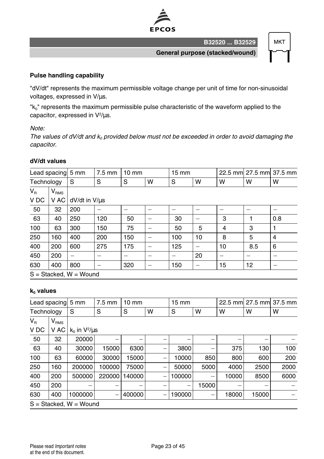

**B32520 ... B32529**

**MKT** 

**General purpose (stacked/wound)**

#### **Pulse handling capability**

"dV/dt" represents the maximum permissible voltage change per unit of time for non-sinusoidal voltages, expressed in V/µs.

"k<sub>0</sub>" represents the maximum permissible pulse characteristic of the waveform applied to the capacitor, expressed in  $V^2/\mu s$ .

#### Note:

The values of dV/dt and  $k_0$  provided below must not be exceeded in order to avoid damaging the capacitor.

#### **dV/dt values**

|            |                          | Lead spacing 5 mm | $7.5 \text{ mm}$ | $10 \text{ mm}$ |   | $15 \text{ mm}$ |    |    | 22.5 mm 27.5 mm 37.5 mm |     |
|------------|--------------------------|-------------------|------------------|-----------------|---|-----------------|----|----|-------------------------|-----|
| Technology |                          | S                 | S                | S               | W | S               | W  | W  | w                       | W   |
| $V_{R}$    | V <sub>RMS</sub>         |                   |                  |                 |   |                 |    |    |                         |     |
| V DC       | V AC                     | dV/dt in V/us     |                  |                 |   |                 |    |    |                         |     |
| 50         | 32                       | 200               |                  |                 |   |                 |    |    |                         |     |
| 63         | 40                       | 250               | 120              | 50              |   | 30              |    | 3  |                         | 0.8 |
| 100        | 63                       | 300               | 150              | 75              |   | 50              | 5  | 4  | 3                       |     |
| 250        | 160                      | 400               | 200              | 150             |   | 100             | 10 | 8  | 5                       | 4   |
| 400        | 200                      | 600               | 275              | 175             |   | 125             |    | 10 | 8.5                     | 6   |
| 450        | 200                      |                   |                  |                 |   |                 | 20 |    |                         |     |
| 630        | 400                      | 800               | -                | 320             |   | 150             | -  | 15 | 12                      | -   |
|            | $S = Stacked, W = Wound$ |                   |                  |                 |   |                 |    |    |                         |     |

#### **k<sup>0</sup> values**

| Lead spacing 5 mm |                             |                      | $7.5 \text{ mm}$ | $10 \text{ mm}$ |   | $15 \text{ mm}$   |       |       |       | 22.5 mm 27.5 mm 37.5 mm |
|-------------------|-----------------------------|----------------------|------------------|-----------------|---|-------------------|-------|-------|-------|-------------------------|
| Technology        |                             | S                    | S                | S               | W | S                 | W     | w     | w     | w                       |
| $V_{\rm R}$       | $\mathsf{V}_{\mathsf{RMS}}$ |                      |                  |                 |   |                   |       |       |       |                         |
| V <sub>DC</sub>   | V AC                        | $k_0$ in $V^2/\mu s$ |                  |                 |   |                   |       |       |       |                         |
| 50                | 32                          | 20000                |                  |                 |   |                   |       |       |       |                         |
| 63                | 40                          | 30000                | 15000            | 6300            |   | 3800              |       | 375   | 130   | 100                     |
| 100               | 63                          | 60000                | 30000            | 15000           | - | 10000             | 850   | 800   | 600   | 200                     |
| 250               | 160                         | 200000               | 100000           | 75000           | - | 50000             | 5000  | 4000  | 2500  | 2000                    |
| 400               | 200                         | 500000               | 220000           | 140000          | - | 100000            | -     | 10000 | 8500  | 6000                    |
| 450               | 200                         |                      |                  |                 |   | $\qquad \qquad -$ | 15000 |       |       |                         |
| 630               | 400                         | 1000000              |                  | 400000          | - | 190000            |       | 18000 | 15000 |                         |
|                   | $S = Stacked, W = Wound$    |                      |                  |                 |   |                   |       |       |       |                         |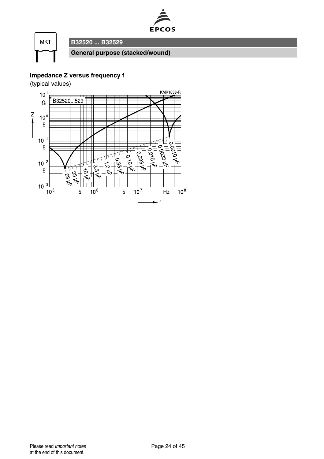



### **Impedance Z versus frequency f**

(typical values)

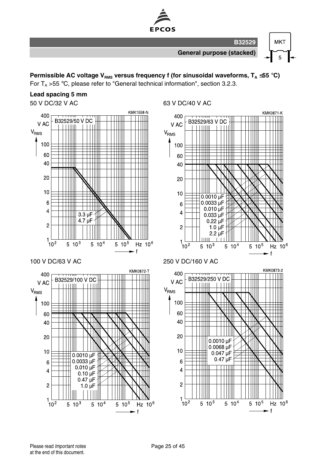

**Permissible AC voltage VRMS versus frequency f (for sinusoidal waveforms, T<sup>A</sup>** ≤**55** °**C)**

For  $T_A > 55$  °C, please refer to "General technical information", section 3.2.3.

#### **Lead spacing 5 mm**

50 V DC/32 V AC 63 V DC/40 V AC

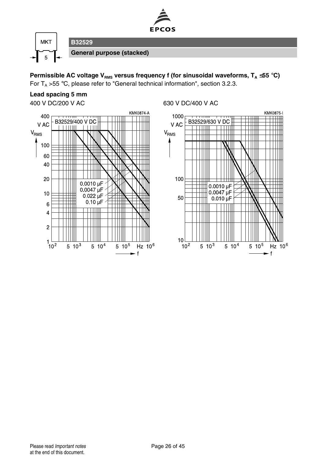

**Permissible AC voltage V<sub>RMS</sub> versus frequency f (for sinusoidal waveforms, T<sub>A</sub> ≤55 °C)** For  $T_A > 55$  °C, please refer to "General technical information", section 3.2.3.

**Lead spacing 5 mm**



400 V DC/200 V AC 630 V DC/400 V AC

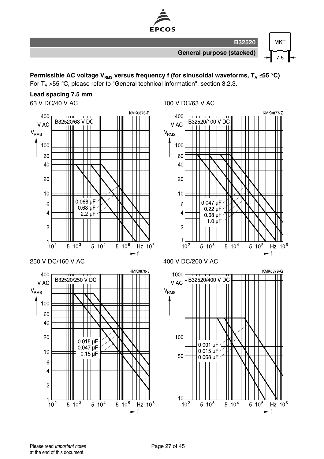

**Permissible AC voltage VRMS versus frequency f (for sinusoidal waveforms, T<sup>A</sup>** ≤**55** °**C)** For  $T_A > 55$  °C, please refer to "General technical information", section 3.2.3.

#### **Lead spacing 7.5 mm**

63 V DC/40 V AC 100 V DC/63 V AC



 $\mathbf{f}$ 

٠f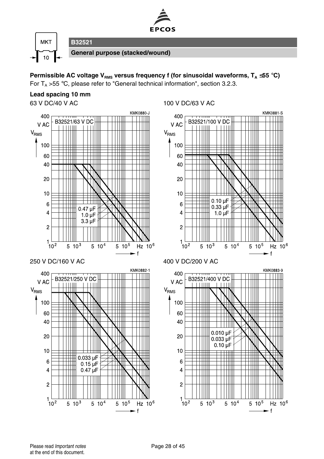

**Permissible AC voltage VRMS versus frequency f (for sinusoidal waveforms, T<sup>A</sup>** ≤**55** °**C)** For  $T_A > 55$  °C, please refer to "General technical information", section 3.2.3.

#### **Lead spacing 10 mm**

63 V DC/40 V AC 100 V DC/63 V AC

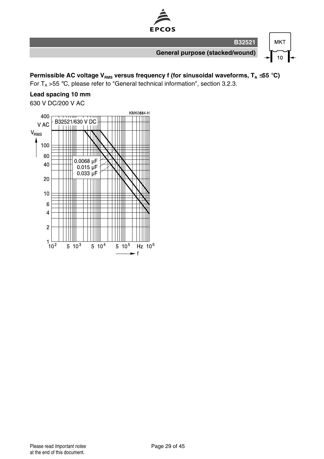

**Permissible AC voltage V<sub>RMS</sub> versus frequency f (for sinusoidal waveforms, T<sub>A</sub> ≤55 °C)** 

For  $T_A > 55$  °C, please refer to "General technical information", section 3.2.3.

### **Lead spacing 10 mm**

630 V DC/200 V AC

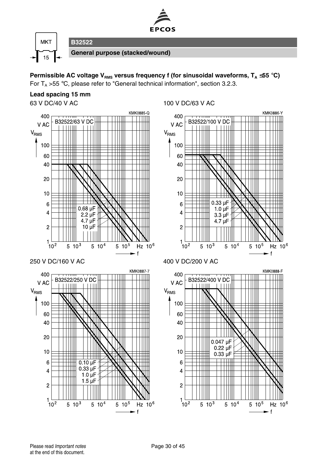

**Permissible AC voltage VRMS versus frequency f (for sinusoidal waveforms, T<sup>A</sup>** ≤**55** °**C)** For  $T_A > 55$  °C, please refer to "General technical information", section 3.2.3.

#### **Lead spacing 15 mm**

63 V DC/40 V AC 100 V DC/63 V AC



 $\ddot{f}$ 

**f**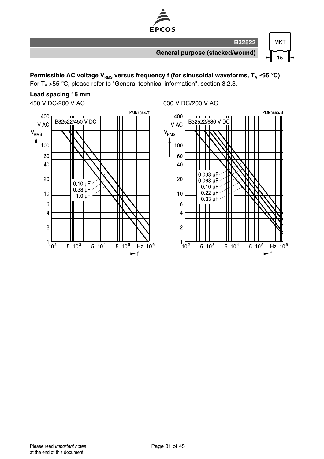

**Permissible AC voltage V<sub>RMS</sub> versus frequency f (for sinusoidal waveforms, T<sub>A</sub> ≤55 °C)** 

For  $T_A > 55$  °C, please refer to "General technical information", section 3.2.3.

## **Lead spacing 15 mm**



#### 450 V DC/200 V AC 630 V DC/200 V AC

KMK0889-N

Hz 10<sup>6</sup>

 $\mathbf{f}$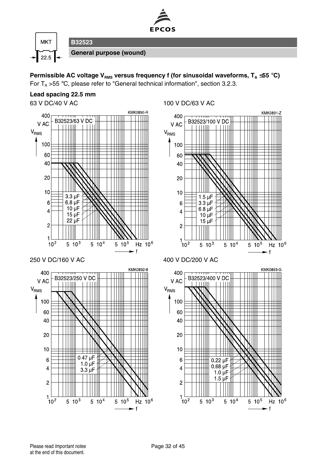

**Permissible AC voltage VRMS versus frequency f (for sinusoidal waveforms, T<sup>A</sup>** ≤**55** °**C)** For  $T_A > 55$  °C, please refer to "General technical information", section 3.2.3.

#### **Lead spacing 22.5 mm**



63 V DC/40 V AC 100 V DC/63 V AC

 $\mathbf{f}$ 

 $\mathbf f$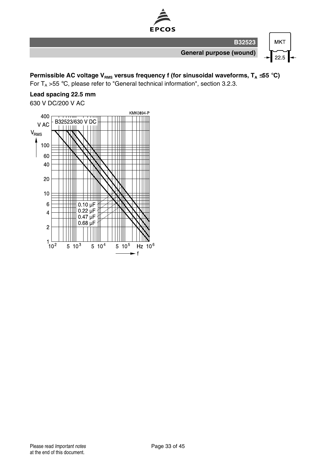

**Permissible AC voltage V<sub>RMS</sub> versus frequency f (for sinusoidal waveforms, T<sub>A</sub> ≤55 °C)** 

For  $T_A > 55$  °C, please refer to "General technical information", section 3.2.3.

### **Lead spacing 22.5 mm**

630 V DC/200 V AC

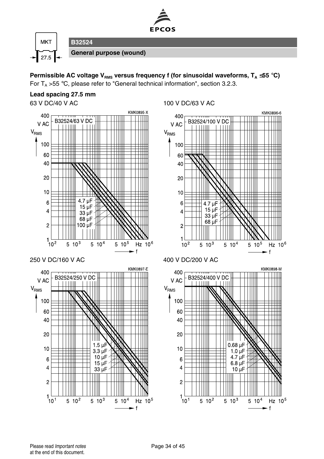

**Permissible AC voltage VRMS versus frequency f (for sinusoidal waveforms, T<sup>A</sup>** ≤**55** °**C)** For  $T_A > 55$  °C, please refer to "General technical information", section 3.2.3.

#### **Lead spacing 27.5 mm**

63 V DC/40 V AC 100 V DC/63 V AC



 $\ddot{f}$ 

.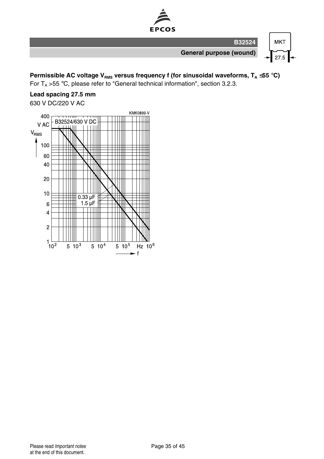

**Permissible AC voltage V<sub>RMS</sub> versus frequency f (for sinusoidal waveforms, T<sub>A</sub> ≤55 °C)** 

For  $T_A > 55$  °C, please refer to "General technical information", section 3.2.3.

### **Lead spacing 27.5 mm**

630 V DC/220 V AC

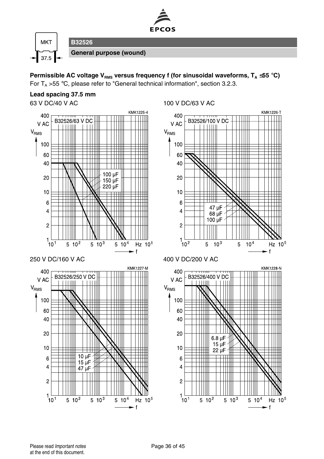

**Permissible AC voltage VRMS versus frequency f (for sinusoidal waveforms, T<sup>A</sup>** ≤**55** °**C)** For  $T_A > 55$  °C, please refer to "General technical information", section 3.2.3.

#### **Lead spacing 37.5 mm**

63 V DC/40 V AC 100 V DC/63 V AC

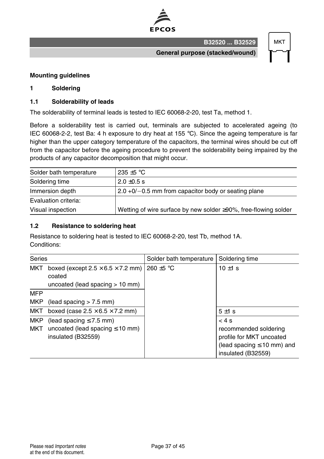

**MKT** 

**General purpose (stacked/wound)**

**B32520 ... B32529**

#### **Mounting guidelines**

#### **1 Soldering**

#### **1.1 Solderability of leads**

The solderability of terminal leads is tested to IEC 60068-2-20, test Ta, method 1.

Before a solderability test is carried out, terminals are subjected to accelerated ageing (to IEC 60068-2-2, test Ba: 4 h exposure to dry heat at 155  $^{\circ}$ C). Since the ageing temperature is far higher than the upper category temperature of the capacitors, the terminal wires should be cut off from the capacitor before the ageing procedure to prevent the solderability being impaired by the products of any capacitor decomposition that might occur.

| Solder bath temperature | 235 $\pm$ 5 °C                                                  |
|-------------------------|-----------------------------------------------------------------|
| Soldering time          | $2.0 \pm 0.5$ s                                                 |
| Immersion depth         | $\vert$ 2.0 +0/-0.5 mm from capacitor body or seating plane     |
| Evaluation criteria:    |                                                                 |
| Visual inspection       | Wetting of wire surface by new solder ≥90%, free-flowing solder |

#### **1.2 Resistance to soldering heat**

Resistance to soldering heat is tested to IEC 60068-2-20, test Tb, method 1A. Conditions:

| Series                   |                                                                                              | Solder bath temperature | Soldering time                                                                                                     |
|--------------------------|----------------------------------------------------------------------------------------------|-------------------------|--------------------------------------------------------------------------------------------------------------------|
| <b>MKT</b>               | boxed (except $2.5 \times 6.5 \times 7.2$ mm)<br>coated<br>uncoated (lead spacing $> 10$ mm) | 260 $\pm$ 5 °C          | 10 $\pm$ 1 s                                                                                                       |
| <b>MFP</b>               |                                                                                              |                         |                                                                                                                    |
| MKP                      | (lead spacing $> 7.5$ mm)                                                                    |                         |                                                                                                                    |
| MKT                      | boxed (case $2.5 \times 6.5 \times 7.2$ mm)                                                  |                         | $5 \pm 1$ s                                                                                                        |
| <b>MKP</b><br><b>MKT</b> | (lead spacing $\leq 7.5$ mm)<br>uncoated (lead spacing $\leq 10$ mm)<br>insulated (B32559)   |                         | < 4s<br>recommended soldering<br>profile for MKT uncoated<br>(lead spacing $\leq 10$ mm) and<br>insulated (B32559) |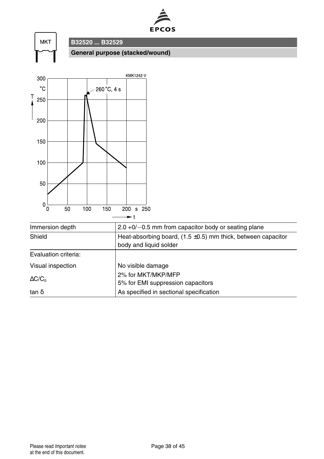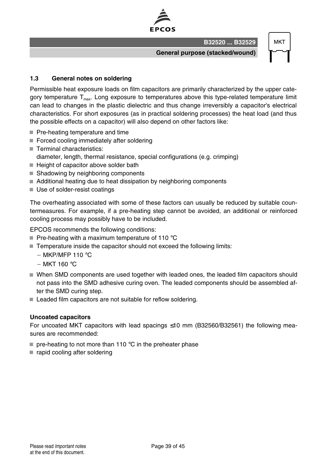

**MKT** 

**General purpose (stacked/wound)**

**B32520 ... B32529**

#### **1.3 General notes on soldering**

Permissible heat exposure loads on film capacitors are primarily characterized by the upper category temperature  $T<sub>max</sub>$ . Long exposure to temperatures above this type-related temperature limit can lead to changes in the plastic dielectric and thus change irreversibly a capacitor's electrical characteristics. For short exposures (as in practical soldering processes) the heat load (and thus the possible effects on a capacitor) will also depend on other factors like:

- Pre-heating temperature and time
- Forced cooling immediately after soldering
- Terminal characteristics:
- diameter, length, thermal resistance, special configurations (e.g. crimping)
- Height of capacitor above solder bath
- Shadowing by neighboring components
- Additional heating due to heat dissipation by neighboring components
- Use of solder-resist coatings

The overheating associated with some of these factors can usually be reduced by suitable countermeasures. For example, if a pre-heating step cannot be avoided, an additional or reinforced cooling process may possibly have to be included.

EPCOS recommends the following conditions:

- Pre-heating with a maximum temperature of 110  $^{\circ}$ C
- Temperature inside the capacitor should not exceed the following limits:
	- $-MKP/MFP 110 °C$
	- $-$  MKT 160 $^{\circ}$ C
- When SMD components are used together with leaded ones, the leaded film capacitors should not pass into the SMD adhesive curing oven. The leaded components should be assembled after the SMD curing step.
- Leaded film capacitors are not suitable for reflow soldering.

#### **Uncoated capacitors**

For uncoated MKT capacitors with lead spacings  $\leq 10$  mm (B32560/B32561) the following measures are recommended:

- $\blacksquare$  pre-heating to not more than 110 °C in the preheater phase
- rapid cooling after soldering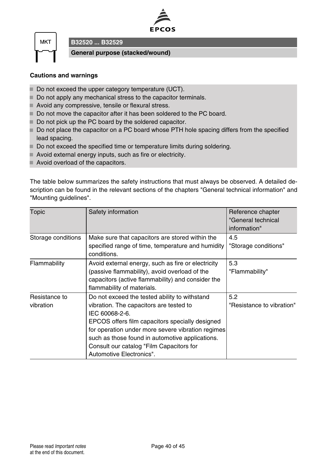



**B32520 ... B32529**

**General purpose (stacked/wound)**

#### **Cautions and warnings**

- Do not exceed the upper category temperature (UCT).
- Do not apply any mechanical stress to the capacitor terminals.
- Avoid any compressive, tensile or flexural stress.
- Do not move the capacitor after it has been soldered to the PC board.
- Do not pick up the PC board by the soldered capacitor.
- Do not place the capacitor on a PC board whose PTH hole spacing differs from the specified lead spacing.
- Do not exceed the specified time or temperature limits during soldering.
- Avoid external energy inputs, such as fire or electricity.
- Avoid overload of the capacitors.

The table below summarizes the safety instructions that must always be observed. A detailed description can be found in the relevant sections of the chapters "General technical information" and "Mounting guidelines".

| Topic                      | Safety information                                                                                                                                                                                                                                                                                                                            | Reference chapter<br>"General technical<br>information" |
|----------------------------|-----------------------------------------------------------------------------------------------------------------------------------------------------------------------------------------------------------------------------------------------------------------------------------------------------------------------------------------------|---------------------------------------------------------|
| Storage conditions         | Make sure that capacitors are stored within the<br>specified range of time, temperature and humidity<br>conditions.                                                                                                                                                                                                                           | 4.5<br>"Storage conditions"                             |
| Flammability               | Avoid external energy, such as fire or electricity<br>(passive flammability), avoid overload of the<br>capacitors (active flammability) and consider the<br>flammability of materials.                                                                                                                                                        | 5.3<br>"Flammability"                                   |
| Resistance to<br>vibration | Do not exceed the tested ability to withstand<br>vibration. The capacitors are tested to<br>IEC 60068-2-6.<br>EPCOS offers film capacitors specially designed<br>for operation under more severe vibration regimes<br>such as those found in automotive applications.<br>Consult our catalog "Film Capacitors for<br>Automotive Electronics". | 5.2<br>"Resistance to vibration"                        |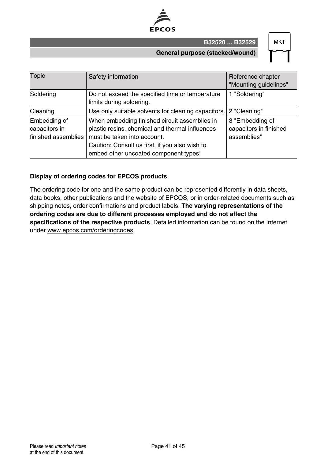

**B32520 ... B32529**

#### **General purpose (stacked/wound)**

| MК |  |
|----|--|
|    |  |

| <b>Topic</b>                                         | Safety information                                                                                                                                                                                                         | Reference chapter<br>"Mounting guidelines"               |
|------------------------------------------------------|----------------------------------------------------------------------------------------------------------------------------------------------------------------------------------------------------------------------------|----------------------------------------------------------|
| Soldering                                            | Do not exceed the specified time or temperature<br>limits during soldering.                                                                                                                                                | 1 "Soldering"                                            |
| Cleaning                                             | Use only suitable solvents for cleaning capacitors.                                                                                                                                                                        | 2 "Cleaning"                                             |
| Embedding of<br>capacitors in<br>finished assemblies | When embedding finished circuit assemblies in<br>plastic resins, chemical and thermal influences<br>must be taken into account.<br>Caution: Consult us first, if you also wish to<br>embed other uncoated component types! | 3 "Embedding of<br>capacitors in finished<br>assemblies" |

#### **Display of ordering codes for EPCOS products**

The ordering code for one and the same product can be represented differently in data sheets, data books, other publications and the website of EPCOS, or in order-related documents such as shipping notes, order confirmations and product labels. **The varying representations of the ordering codes are due to different processes employed and do not affect the specifications of the respective products**. Detailed information can be found on the Internet under www.epcos.com/orderingcodes.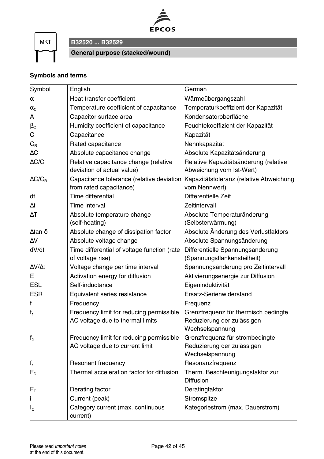

**MKT** 

### **B32520 ... B32529**

**General purpose (stacked/wound)**

#### **Symbols and terms**

| Symbol                        | English                                       | German                                  |
|-------------------------------|-----------------------------------------------|-----------------------------------------|
| $\alpha$                      | Heat transfer coefficient                     | Wärmeübergangszahl                      |
| $\alpha_{\rm C}$              | Temperature coefficient of capacitance        | Temperaturkoeffizient der Kapazität     |
| A                             | Capacitor surface area                        | Kondensatoroberfläche                   |
| $\beta_{\rm C}$               | Humidity coefficient of capacitance           | Feuchtekoeffizient der Kapazität        |
| С                             | Capacitance                                   | Kapazität                               |
| $C_{\text{\tiny R}}$          | Rated capacitance                             | Nennkapazität                           |
| ΛC                            | Absolute capacitance change                   | Absolute Kapazitätsänderung             |
| $\triangle$ C/C               | Relative capacitance change (relative         | Relative Kapazitätsänderung (relative   |
|                               | deviation of actual value)                    | Abweichung vom Ist-Wert)                |
| $\Delta C/C_{\rm B}$          | Capacitance tolerance (relative deviation     | Kapazitätstoleranz (relative Abweichung |
|                               | from rated capacitance)                       | vom Nennwert)                           |
| dt                            | Time differential                             | Differentielle Zeit                     |
| Λt                            | Time interval                                 | Zeitintervall                           |
| $\Delta T$                    | Absolute temperature change                   | Absolute Temperaturänderung             |
|                               | (self-heating)                                | (Selbsterwärmung)                       |
| $λ$ tan $δ$                   | Absolute change of dissipation factor         | Absolute Änderung des Verlustfaktors    |
| $\Delta V$                    | Absolute voltage change                       | Absolute Spannungsänderung              |
| dV/dt                         | Time differential of voltage function (rate   | Differentielle Spannungsänderung        |
|                               | of voltage rise)                              | (Spannungsflankensteilheit)             |
| $\Delta V/\Delta t$           | Voltage change per time interval              | Spannungsänderung pro Zeitintervall     |
| E.                            | Activation energy for diffusion               | Aktivierungsenergie zur Diffusion       |
| <b>ESL</b>                    | Self-inductance                               | Eigeninduktivität                       |
| <b>ESR</b>                    | Equivalent series resistance                  | Ersatz-Serienwiderstand                 |
| f                             | Frequency                                     | Frequenz                                |
| $f_1$                         | Frequency limit for reducing permissible      | Grenzfrequenz für thermisch bedingte    |
|                               | AC voltage due to thermal limits              | Reduzierung der zulässigen              |
|                               |                                               | Wechselspannung                         |
| f <sub>2</sub>                | Frequency limit for reducing permissible      | Grenzfrequenz für strombedingte         |
|                               | AC voltage due to current limit               | Reduzierung der zulässigen              |
|                               |                                               | Wechselspannung                         |
| $f_r$                         | Resonant frequency                            | Resonanzfrequenz                        |
| $F_{D}$                       | Thermal acceleration factor for diffusion     | Therm. Beschleunigungsfaktor zur        |
|                               |                                               | <b>Diffusion</b>                        |
| $F_{\scriptscriptstyle\rm T}$ | Derating factor                               | Deratingfaktor                          |
| Î.                            | Current (peak)                                | Stromspitze                             |
| $I_{\rm C}$                   | Category current (max. continuous<br>current) | Kategoriestrom (max. Dauerstrom)        |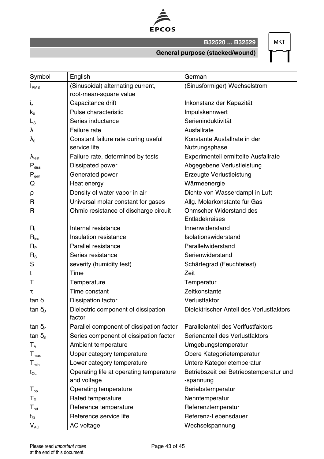

**B32520 ... B32529**

**MKT** 

#### **General purpose (stacked/wound)**

| Symbol                                        | English                                       | German                                   |
|-----------------------------------------------|-----------------------------------------------|------------------------------------------|
| I <sub>RMS</sub>                              | (Sinusoidal) alternating current,             | (Sinusförmiger) Wechselstrom             |
|                                               | root-mean-square value                        |                                          |
| $i_z$                                         | Capacitance drift                             | Inkonstanz der Kapazität                 |
| $k_0$                                         | Pulse characteristic                          | Impulskennwert                           |
| $L_{\rm S}$                                   | Series inductance                             | Serieninduktivität                       |
| λ                                             | Failure rate                                  | Ausfallrate                              |
| $\lambda_{\text{o}}$                          | Constant failure rate during useful           | Konstante Ausfallrate in der             |
|                                               | service life                                  | Nutzungsphase                            |
| $\lambda_{\text{test}}$                       | Failure rate, determined by tests             | Experimentell ermittelte Ausfallrate     |
| $P_{\text{diss}}$                             | Dissipated power                              | Abgegebene Verlustleistung               |
| $P_{gen}$                                     | Generated power                               | Erzeugte Verlustleistung                 |
| Q                                             | Heat energy                                   | Wärmeenergie                             |
| ρ                                             | Density of water vapor in air                 | Dichte von Wasserdampf in Luft           |
| R                                             | Universal molar constant for gases            | Allg. Molarkonstante für Gas             |
| R                                             | Ohmic resistance of discharge circuit         | <b>Ohmscher Widerstand des</b>           |
|                                               |                                               | Entladekreises                           |
| R                                             | Internal resistance                           | Innenwiderstand                          |
| $R_{ins}$                                     | Insulation resistance                         | Isolationswiderstand                     |
| $R_{\scriptscriptstyle{\sf P}}$               | Parallel resistance                           | Parallelwiderstand                       |
| $R_{\rm S}$                                   | Series resistance                             | Serienwiderstand                         |
| S                                             | severity (humidity test)                      | Schärfegrad (Feuchtetest)                |
| t                                             | Time                                          | Zeit                                     |
| т                                             | Temperature                                   | Temperatur                               |
| τ                                             | Time constant                                 | Zeitkonstante                            |
| tan δ                                         | Dissipation factor                            | Verlustfaktor                            |
| tan $\delta_{\rm D}$                          | Dielectric component of dissipation<br>factor | Dielektrischer Anteil des Verlustfaktors |
| tan $\delta_{\rm P}$                          | Parallel component of dissipation factor      | Parallelanteil des Verlfustfaktors       |
| tan $\delta_{\rm s}$                          | Series component of dissipation factor        | Serienanteil des Verlustfaktors          |
| $\mathsf{T}_\mathtt{A}$                       | Ambient temperature                           | Umgebungstemperatur                      |
| $T_{\rm max}$                                 | Upper category temperature                    | Obere Kategorietemperatur                |
| $T_{min}$                                     | Lower category temperature                    | Untere Kategorietemperatur               |
| $t_{OL}$                                      | Operating life at operating temperature       | Betriebszeit bei Betriebstemperatur und  |
|                                               | and voltage                                   | -spannung                                |
| $\mathsf{T}_{\mathsf{op}}$                    | Operating temperature                         | Beriebstemperatur                        |
| $\mathsf{T}_{\scriptscriptstyle{\mathsf{R}}}$ | Rated temperature                             | Nenntemperatur                           |
| $T_{ref}$                                     | Reference temperature                         | Referenztemperatur                       |
| $t_{\scriptscriptstyle\rm SL}$                | Reference service life                        | Referenz-Lebensdauer                     |
| $V_{AC}$                                      | AC voltage                                    | Wechselspannung                          |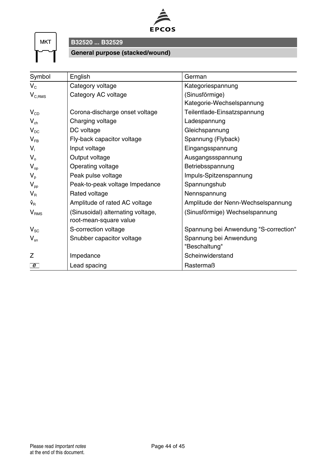

**MKT** 

**B32520 ... B32529**

#### **General purpose (stacked/wound)**

| Symbol           | English                           | German                                |
|------------------|-----------------------------------|---------------------------------------|
| $V_{c}$          | Category voltage                  | Kategoriespannung                     |
| $V_{C,RMS}$      | Category AC voltage               | (Sinusförmige)                        |
|                  |                                   | Kategorie-Wechselspannung             |
| $V_{CD}$         | Corona-discharge onset voltage    | Teilentlade-Einsatzspannung           |
| $V_{ch}$         | Charging voltage                  | Ladespannung                          |
| $V_{DC}$         | DC voltage                        | Gleichspannung                        |
| $V_{FR}$         | Fly-back capacitor voltage        | Spannung (Flyback)                    |
| $V_i$            | Input voltage                     | Eingangsspannung                      |
| $V_{\alpha}$     | Output voltage                    | Ausgangssspannung                     |
| $V_{op}$         | Operating voltage                 | Betriebsspannung                      |
| $V_{p}$          | Peak pulse voltage                | Impuls-Spitzenspannung                |
| $V_{\text{pp}}$  | Peak-to-peak voltage Impedance    | Spannungshub                          |
| $V_{B}$          | Rated voltage                     | Nennspannung                          |
| Ŷ <sub>R</sub>   | Amplitude of rated AC voltage     | Amplitude der Nenn-Wechselspannung    |
| V <sub>RMS</sub> | (Sinusoidal) alternating voltage, | (Sinusförmige) Wechselspannung        |
|                  | root-mean-square value            |                                       |
| $V_{\rm sc}$     | S-correction voltage              | Spannung bei Anwendung "S-correction" |
| $V_{\rm sn}$     | Snubber capacitor voltage         | Spannung bei Anwendung                |
|                  |                                   | "Beschaltung"                         |
| 7                | Impedance                         | Scheinwiderstand                      |
| $\epsilon$       | Lead spacing                      | Rastermaß                             |